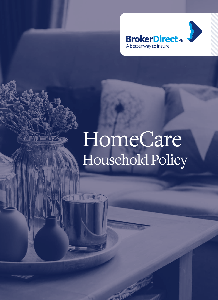

# HomeCare Household Policy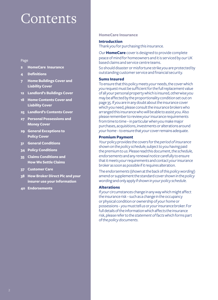## Contents

#### Page

- **2 HomeCare Insurance**
- **4 Definitions**
- **7 Home Buildings Cover and Liability Cover**
- **12 Landlord's Buildings Cover**
- **18 Home Contents Cover and Liability Cover**
- **25 Landlord's Contents Cover**
- **27 Personal Possessions and Money Cover**
- **29 General Exceptions to Policy Cover**
- **31 General Conditions**
- **34 Policy Conditions**
- **35 Claims Conditions and How We Settle Claims**
- **37 Customer Care**
- **38 How Broker Direct Plc and your insurer use your Information**
- **40 Endorsements**

#### **HomeCare Insurance**

#### **Introduction**

Thank *you* for purchasing this insurance*.*

*Our* **HomeCare** cover is designed to provide complete peace of mind for homeowners and it is serviced by *our* UK based claims and service centre teams.

So should disaster or misfortune strike *you* are protected by outstanding customer service and financial security.

#### **Sums Insured**

To ensure that this policy meets *your* needs, the cover which *you* request must be sufficient for the full replacement value of all *your* personal property which is insured, otherwise *you* may be affected by the proportionality condition set out on page 35. If *you* are in any doubt about the insurance cover which *you* need, please consult the insurance brokers who arranged this insurance who will be able to assist *you*. Also please remember to review *your* insurance requirements from time to time – in particular when *you* make major purchases, acquisitions, investments or alterations around *yourhome* – to ensure that *your* cover remains adequate.

#### **Premium Payment**

*Your* policy provides the covers for the *period of insurance* shown on the *policy schedule*, subject to *you* having paid the premium to *us*. Please read this document, the *schedule, endorsements* and any *renewal notice* carefully to ensure that it meets *your* requirements and contact *your* insurance broker as soon as possible if it requires alteration.

The *endorsements* (shown at the back of this *policy wording*) amend or supplement the standard cover shown in the *policy wording* and only apply if shown in *yourpolicy schedule*.

#### **Alterations**

If *your* circumstances change in any way which might affect the insurance risk – such as a change in the occupancy or physical condition or ownership of *yourhome* or possessions – *you* must tell *us* or *your* insurance broker. For full details of the information which affects the insurance risk, please refer to the *statement of facts* which forms part of the *policy documents*.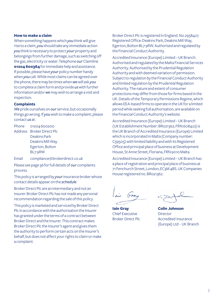#### **How to make a claim**

When something happens which *you* think will give rise to a claim, *you* should take any immediate action *you* think is necessary to protect *your* property and belongings from further damage, such as switching off the gas, electricity or water. Telephone *our* Claimline **01204 600364** for immediate help and assistance. If possible, please have *your* policy number handy when *you* call. While most claims can be agreed over the phone, there may be times when *we* will ask *you* to complete a claim form and provide *us* with further information and/or *we* may wish to arrange a visit and inspection.

#### **Complaints**

*We* pride ourselves on *our* service, but occasionally things go wrong. If *you* wish to make a complaint, please contact *us* at:

Phone 01204 600200 Address Broker Direct Plc Deakins Park Deakins Mill Way Egerton, Bolton BL7 9RW

Email compliance@brokerdirect.co.uk

Please see page 36 for full details of *our* complaints process.

This policy is arranged by *your* insurance broker whose contact details appear on the *schedule*.

Broker Direct Plc are an intermediary and not an insurer. Broker Direct Plc has not made any personal recommendation regarding the sale of this policy.

This policy is marketed and serviced by Broker Direct Plc in accordance with the authorisation the Insurer has granted under the terms of a contract between Broker Direct and the Insurer. This contract makes Broker Direct Plc the Insurer's agent and gives them the authority to perform certain acts on the Insurer's behalf, but does not affect your rights to claim or make a complaint.

Broker Direct Plc is registered in England. No.2958427. Registered Office: Deakins Park, Deakins Mill Way, Egerton, Bolton BL7 9RW. Authorised and regulated by the Financial Conduct Authority.

Accredited Insurance (Europe) Limited – UK Branch. Authorised and regulated by the Malta Financial Services Authority. Authorised by the Prudential Regulation Authority and with deemed variation of permission. Subject to regulation by the Financial Conduct Authority and limited regulation by the Prudential Regulation Authority. The nature and extent of consumer protections may differ from those for firms based in the UK. Details of the Temporary Permissions Regime, which allows EEA-based firms to operate in the UK for a limited period while seeking full authorisation, are available on the Financial Conduct Authority's website.

Accredited Insurance (Europe) Limited – UK Branch (UK Establishment Number: BR021362; FRN:608422) is the UK Branch of Accredited Insurance (Europe) Limited which is incorporated in Malta (Company number: C59505) with limited liability and with its Registered Office and principal place of business at Development House, St Anne Street, Floriana, FRN 9010 Malta.

Accredited Insurance (Europe) Limited – UK Branch has a place of registration and principal place of business at 71 Fenchurch Street, London, EC3M 4BS. UK Companies House registered no. BR021362.

**Iain Gray** Chief Executive Broker Direct Plc

**Colin Johnson Director** Accredited Insurance (Europe) Ltd - UK Branch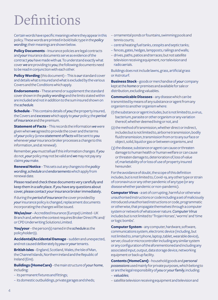## Definitions

Certain words have specific meanings where they appear in this policy. These words are printed in bold italic type in the *policy wording*; their meanings are shown below.

**Policy Documents** – Insurance policies are legal contracts and *your* insurance documents serve as evidence of the contract *you* have made with *us*. To understand exactly what cover *we* are providing to *you*, the following documents need to be read in conjunction with each other.

**Policy Wording** (this document) – This is *our* standard cover and details what is insured and what is excluded by the various Covers and the Conditions which apply.

**Endorsements** – These amend or supplement the standard cover shown in the *policy wording* and the limits stated within are included and not in addition to the sum insured shown on the *schedule*.

**Schedule** – This contains details of *you*; the property insured, the Covers and *excesses* which apply to *your* policy; the *period of insurance* and the premium.

**Statement of Facts** – This records the information *we* were given when *we* agreed to provide the cover and the terms of *your* policy (a new *statement of facts* will be sent to *you* whenever *your* insurance broker processes a change to this information, and at renewal).

Remember, *you* must tell *us* if this information changes. If *you*  do not, *your* policy may not be valid and *we* may not pay any claims *you* make.

**Renewal Notice** – This sets out any changes to the *policy wording*, *schedule* and *endorsements* which apply from renewal date.

Please read and check these documents very carefully and keep them in a safe place. If *you* have any questions about cover, please contact *your* insurance broker immediately.

If during the *period of insurance* the cover provided by *your* insurance policy is changed, replacement documents incorporating the changes will be issued.

**We/us/our** – Accredited Insurance (Europe) Limited - UK Branch and, where the context requires Broker Direct Plc and/ or CPD Underwriting Solutions Limited.

**You/your** – the person(s) named in the *schedule* as the policyholder(s).

**Accidental/Accidental Damage** – sudden and unexpected, and not caused deliberately by *you* or *your* tenants.

**British Isles** – England, Scotland, Wales, the Isle of Man, the Channel Islands, Northern Ireland and the Republic of Ireland (Eire).

**Buildings (HomeCare)** – the main structure of *yourhome*, including:

- its permanent fixtures and fittings;
- its domestic outbuildings, private garages and sheds;
- ornamental ponds or fountains, swimming pools and tennis courts;
- central heating fuel tanks, cesspits and septic tanks;
- fences, gates, hedges, lampposts, railings and walls;
- drives, paths, patios and terraces; but not satellite television receiving equipment, nor television and radio aerials.

Buildings does not include lawns, grass, artificial grass or Astroturf.

**Business Stock** – goods or merchandise of *your* company kept at the *home* or premises and available for sale or distribution, excluding valuables.

**Communicable Diseases** – any disease which can be transmitted by means of any substance or agent from any organism to another organism where:

- (1) the substance or agent includes, but is not limited to, a virus, bacterium, parasite or other organism or any variation thereof, whether deemed living or not, and
- (2) the method of transmission, whether direct or indirect, includes but is not limited to, airborne transmission, bodily fluid transmission, transmission from or to any surface or object, solid, liquid or gas or between organisms, and
- (3) the disease, substance or agent can cause or threaten damage to human health or human welfare or can cause or threaten damage to, deterioration of, loss of value of, marketability of or loss of use of property insured hereunder.

For the avoidance of doubt, the scope of this definition includes, but is not limited to, Covid-19, any other type or strain of coronavirus or any other pandemic of any type (or any disease whether pandemic or non-pandemic).

**Computer Virus** – a set of corrupting, harmful or otherwise unauthorised instructions or code including a set of maliciously introduced unauthorised instructions or code, programmatic or otherwise, that propagate themselves through a computer system or network of whatsoever nature. *Computer Virus* includes but is not limited to 'Trojan Horses', 'worms' and 'time or logic bombs'.

**Computer System** – any computer, hardware, software, communications system, electronic device (including, but not limited to, smart phone, laptop, tablet, wearable device), server, cloud or microcontroller including any similar system or any configuration of the aforementioned and including any associated input, output, data storage device, networking equipment or back up facility.

**Contents (HomeCare)** – household goods and *personal possessions* used mainly for private purposes, which belong to or are the legal responsibility of *you* or *your family*, including:

– *valuables*;

– satellite television receiving equipment and television and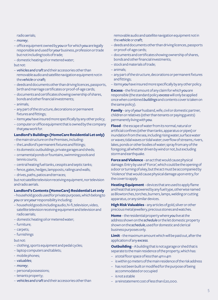radio aerials;

- *money*;
- office equipment owned by *you* or for which *you* are legally responsible and used for *your* business, profession or trade but not including tools of trade;
- domestic heating oil or metered water;

but not:

- *vehicles and craft* and their accessories other than removable audio and satellite navigation equipment not in the *vehicle* or *craft;*
- deeds and documents other than driving licences, passports, birth and marriage certificates or proof-of-age cards;
- documents and certificates showing ownership of shares, bonds and other financial investments;
- animals;
- any part of the structure, decorations or permanent fixtures and fittings;
- items *you* have insured more specifically by any other policy;
- computer or office equipment that is owned by the company that *you* work for.

#### **Landlord's Buildings (HomeCare Residential Let only)**

- the main structure on the Premises, including:
- the Landlord's permanent fixtures and fittings;
- its domestic outbuildings, private garages and sheds;
- ornamental ponds or fountains, swimming pools and tennis courts;
- central heating fuel tanks, cesspits and septic tanks;
- fence, gates, hedges, lampposts, railings and walls;
- drives, paths, patios and terraces;

but not satellite television receiving equipment, nor television and radio aerials.

#### **Landlord's Contents (HomeCare) Residential Let only**

– household goods used for private purposes, which belong to *you* or are *your* responsibility including:

- household goods including audio, hi-fi, television, video, satellite television receiving equipment and television and radio aerials;
- domestic heating oil or metered water;
- furniture;
- carpets;
- furnishings

but not:

- clothing, sports equipment and pedal cycles;
- laptop computers and tablets;
- mobile phones;
- *valuables*;
- *money*;
- personal possessions;
- tenants property;
- *vehicles and craft* and their accessories other than

removable audio and satellite navigation equipment not in the *vehicle* or *craft*;

- deeds and documents other than driving licences, passports or proof-of-age cards;
- documents and certificates showing ownership of shares, bonds and other financial investments;
- stock and materials of trade;
- animals;
- any part of the structure, decorations or permanent fixtures and fittings;
- items *you* have insured more specifically by any other policy.

**Excess**– the first amount of any claim for which *you* are responsible (the standard policy *excess* will only be applied once when combined *buildings* and contents cover is taken on the same policy).

**Family**– any of *your* husband, wife, civil or domestic partner, children or relatives (other than tenants or paying guests) permanently living with *you*.

**Flood**– the escape of water from its normal, natural or artificial confines (other than tanks, apparatus or pipes) or inundation from the sea, including rising water, surface water or waves; tidal waves or tidal water; overflow of streams, rivers, lakes, ponds or other bodies of water; spray from any of the foregoing; all whether driven by wind or not, but excluding storm and earthquake.

**Force and Violence** – an act that would cause physical damage. Entry by use of 'Force', which could be the opening of a door or turning of a key, but the act must be accompanied by 'Violence' that would cause physical damage upon entry, for the cover to apply.

**Heating Equipment** – devices that are used to apply flame and heat that are powered by any fuel type, otherwise named as Blowtorches, torches, burners, lamps, welding or cutting apparatus, or any similar devices.

**High Risk Valuables**– any articles of gold, silver or other precious metal jewellery, precious stones and watches.

**Home** – the residential property where *you* live at the address shown on the *schedule* or the let domestic property shown on the *schedule*, used for domestic and clerical business purposes only.

**Limit** – the maximum amount which will be paid out, after the application of any *excess*.

**Outbuilding** – A building that is not a garage or shed that is separate to the main residence of the property, which has:

- a total floor space of less than 4m x 4m
- is within 50 meters of the main residence of the risk address
- has not been built or modified for the purpose of being accommodated or occupied
- is not a stable
- a reinstatement cost of less than £20,000.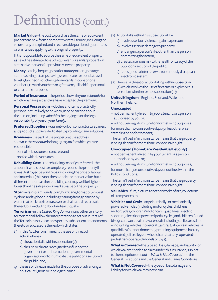## Definitions (cont.)

**Market Value** – the cost to purchase the same or equivalent property as new from a competitive retail source; including the value of any unexpired and irrecoverable portion of guarantees or warranties applying to the original property.

If it is not possible to source the same or equivalent property as new: the estimated cost of equivalent or similar property in alternative markets for previously-owned property.

**Money** – cash, cheques, postal or *money* orders, postage stamps, savings stamps, savings certificates or bonds, travel tickets, luncheon vouchers, phone cards, mobile phone vouchers, reward vouchers or gift tokens, all held for personal or charitable purposes.

**Period of Insurance** – the period shown in *yourschedule* for which *you* have paid and *we* have accepted the premium.

**Personal Possessions** – clothes and items of a strictly personal nature likely to be worn, used or carried about the person, including *valuables*, belonging to or the legal responsibility of *you* or *yourfamily*.

**Preferred Suppliers** – *our* network of contractors, repairers and product suppliers dedicated to providing claim solutions.

**Premises** – the part of the property at the address shown in the *schedule* belonging to *you* for which *you* are responsible:

- built of brick, stone or concrete and
- roofed with tiles or slates.

**Rebuilding Cost** – the rebuilding cost of *your home* is the amount it would cost to completely rebuild the property if it was destroyed beyond repair including the price of labour and materials (this is not the sale price or market value, but a different amount as the rebuilding cost may well be higher or lower than the sale price or market value of the property).

**Storm** – rainstorm, windstorm, hurricane, tornado, tempest, cyclone and typhoon including ensuing damage caused by water that backs up from a sewer or drain as a direct result thereof, but excluding flood and earthquake.

**Terrorism** –in the *United Kingdom* or in any other territory, terrorism shall follow the interpretation as set out in Part 1 of the Terrorism Act 2000 or as per any subsequent amendments thereto or successors thereof, which states:

- (1) in this Act, terrorism means the use or threat of action where –
	- a) the action falls within subsection (2);
	- b) the use or threat is designed to influence the government or an international governmental organisation or to intimidate the public or a section of the public, and;
- c) the use or threat is made for the purpose of advancing a political, religious or ideological cause.
- (2) Action falls within this subsection if it
	- a) involves serious violence against a person;
	- b) involves serious damage to property;
	- c) endangers a person's life, other than the person committing the action;
	- d) creates a serious risk to the health or safety of the public or a section of the public;
	- e) is designed to interfere with or seriously disrupt an electronic system.
- (3) The use or threat of action falling within subsection (2) which involves the use of firearms or explosives is terrorism whether or not subsection (1b).

**United Kingdom** – England, Scotland, Wales and Northern Ireland.

#### **Unoccupied**

– not permanently lived in by *you*, a tenant, or a person authorised by *you* or;

– without enough furniture for normal living purposes for more than 30 consecutive days (unless otherwise stated in the *endorsements*).

The term 'lived in' in this instance means that the property is being slept in for more than 1 consecutive night.

#### **Unoccupied (HomeCare Residential Let only)**

- not permanently lived in by *your* tenant or a person authorised by *you* or;
- without enough furniture for normal living purposes; for more than 30 consecutive days or outlined within the Policy Conditions.

The term 'lived in' in this instance means that the property is being slept in for more than 1 consecutive night.

**Valuables** – furs, pictures or other works of art, collections of stamps or coins.

**Vehicles and Craft** – any electrically- or mechanicallypowered vehicles (including motor cycles, childrens' motorcycles, childrens' motor cars, quad bikes, electric scooters, electric or powered pedal cycles, and childrens' quad bikes), caravans, trailers, watercraft including surfboards, land windsurfing vehicles, hovercraft, aircraft, all-terrain vehicles or quad bikes (but not domestic gardening equipment, batteryoperated golf trolleys or wheelchairs, battery-operated or pedestrian-operated models or toys).

**What is Covered** – the types of loss, damage, and liability for which *you* are entitled to claim under this insurance, subject to the exceptions set out in *What is Not Covered* and the General Exceptions and the General and Claims Conditions.

**What is Not Covered**– the types of loss, damage and liability for which *you* may not claim.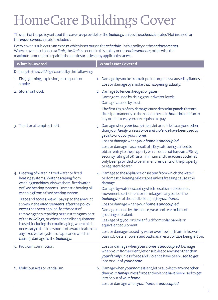## HomeCare Buildings Cover

This part of the policy sets out the cover *we* provide for the *buildings* unless the *schedule* states 'Not insured' or the *endorsements* state 'excluded'.

Every cover is subject to an *excess*, which is set out on the *schedule* , in this policy or the *endorsements*. Where cover is subject to a *limit*, the *limit* is set out in this policy or the *endorsements*, otherwise the maximum amount to be paid is the sum insured less any applicable *excess*.

| <b>What is Covered</b>                                                                                                                                                                                                                                                                                                                                                                                                                                                                                                                                                                                                                                                        | <b>What is Not Covered</b>                                                                                                                                                                                                                                                                                                                                                                                                                                                                                                                                                                                                                                           |
|-------------------------------------------------------------------------------------------------------------------------------------------------------------------------------------------------------------------------------------------------------------------------------------------------------------------------------------------------------------------------------------------------------------------------------------------------------------------------------------------------------------------------------------------------------------------------------------------------------------------------------------------------------------------------------|----------------------------------------------------------------------------------------------------------------------------------------------------------------------------------------------------------------------------------------------------------------------------------------------------------------------------------------------------------------------------------------------------------------------------------------------------------------------------------------------------------------------------------------------------------------------------------------------------------------------------------------------------------------------|
| Damage to the buildings caused by the following:                                                                                                                                                                                                                                                                                                                                                                                                                                                                                                                                                                                                                              |                                                                                                                                                                                                                                                                                                                                                                                                                                                                                                                                                                                                                                                                      |
| 1. Fire, lightning, explosion, earthquake or<br>smoke.                                                                                                                                                                                                                                                                                                                                                                                                                                                                                                                                                                                                                        | 1. Damage by smoke from air pollution, unless caused by flames.<br>Loss or damage by smoke that happens gradually.                                                                                                                                                                                                                                                                                                                                                                                                                                                                                                                                                   |
| 2. Storm or flood.                                                                                                                                                                                                                                                                                                                                                                                                                                                                                                                                                                                                                                                            | 2. Damage to fences, hedges or gates.<br>Damage caused by rising groundwater levels.<br>Damage caused by frost.<br>The first £250 of any damage caused to solar panels that are<br>fitted permanently to the roof of the main home in addition to<br>any other excess you are required to pay.                                                                                                                                                                                                                                                                                                                                                                       |
| 3. Theft or attempted theft.                                                                                                                                                                                                                                                                                                                                                                                                                                                                                                                                                                                                                                                  | 3. Damage when your home is lent, let or sub-let to anyone other<br>than your family, unless force and violence have been used to<br>get into or out of your home.<br>Loss or damage when your home is unoccupied.<br>Loss or damage if as a result of a Key safe being utilised to<br>obtain entry to the property which does not have an LPS1175<br>security rating of SR1 as a minimum and the access code has<br>only been provided to permanent residents of the property<br>or registered carer.                                                                                                                                                               |
| 4. Freezing of water in fixed water or fixed<br>heating systems. Water escaping from<br>washing machines, dishwashers, fixed water<br>or fixed heating systems. Domestic heating oil<br>escaping from a fixed heating system.<br>Trace and access: we will pay up to the amount<br>shown in the endorsements, after the policy<br>excess has been applied, for the cost of<br>removing then repairing or reinstating any part<br>of the buildings, or where specialist equipment<br>is used, including thermal imaging, when this is<br>necessary to find the source of a water leak from<br>any fixed water system or appliance which is<br>causing damage to the buildings. | 4. Damage to the appliance or system from which the water<br>or domestic heating oil escapes unless freezing causes the<br>damage.<br>Damage by water escaping which results in subsidence,<br>movement, settlement or shrinkage of any part of the<br>buildings or of the land belonging to your home.<br>Loss or damage when your home is unoccupied.<br>Damage caused by the failure, wear and tear or lack of<br>grouting or sealant.<br>Leakage of glycol or similar fluid from solar panels or<br>equivalent equipment.<br>Loss or damage caused by water overflowing from sinks, wash<br>basins, bidets, showers and baths as a result of taps being left on. |
| 5. Riot, civil commotion.                                                                                                                                                                                                                                                                                                                                                                                                                                                                                                                                                                                                                                                     | Loss or damage when your home is unoccupied. Damage<br>when your home is lent, let or sub-let to anyone other than<br>your family unless force and violence have been used to get<br>into or out of your home.                                                                                                                                                                                                                                                                                                                                                                                                                                                       |
| 6. Malicious acts or vandalism.                                                                                                                                                                                                                                                                                                                                                                                                                                                                                                                                                                                                                                               | 6. Damage when your home is lent, let or sub-let to anyone other<br>than your family unless force and violence have been used to get<br>into or out of your home.<br>Loss or damage when your home is unoccupied.                                                                                                                                                                                                                                                                                                                                                                                                                                                    |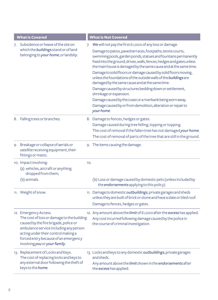| <b>What is Covered</b> |                                                                                                                                                                                                                                                                        |     | <b>What is Not Covered</b>                                                                                                                                                                                                                                                                                                                                                                                                                                                                                                                                                                                                                                                                                                                                          |
|------------------------|------------------------------------------------------------------------------------------------------------------------------------------------------------------------------------------------------------------------------------------------------------------------|-----|---------------------------------------------------------------------------------------------------------------------------------------------------------------------------------------------------------------------------------------------------------------------------------------------------------------------------------------------------------------------------------------------------------------------------------------------------------------------------------------------------------------------------------------------------------------------------------------------------------------------------------------------------------------------------------------------------------------------------------------------------------------------|
| 7.                     | Subsidence or heave of the site on<br>which the buildings stand or of land<br>belonging to your home, or landslip.                                                                                                                                                     | 7.  | We will not pay the first £1,000 of any loss or damage.<br>Damage to patios, paved terraces, footpaths, tennis courts,<br>swimming pools, garden ponds, statues and fountains permanently<br>fixed into the ground, drives, walls, fences, hedges and gates unless<br>the main house is damaged by the same cause and at the same time.<br>Damage to solid floors or damage caused by solid floors moving,<br>unless the foundations of the outside walls of the buildings are<br>damaged by the same cause and at the same time.<br>Damage caused by structures bedding down or settlement,<br>shrinkage or expansion.<br>Damage caused by the coast or a riverbank being worn away.<br>Damage caused by or from demolition, alteration or repair to<br>your home. |
|                        | 8. Falling trees or branches.                                                                                                                                                                                                                                          |     | 8. Damage to fences, hedges or gates.<br>Damage caused during tree felling, lopping or topping.<br>The cost of removal if the fallen tree has not damaged your home.<br>The cost of removal of parts of the tree that are still in the ground.                                                                                                                                                                                                                                                                                                                                                                                                                                                                                                                      |
|                        | 9. Breakage or collapse of aerials or<br>satellite receiving equipment, their<br>fittings or masts.                                                                                                                                                                    |     | 9. The items causing the damage.                                                                                                                                                                                                                                                                                                                                                                                                                                                                                                                                                                                                                                                                                                                                    |
|                        | 10. Impact involving:<br>(a) vehicles, aircraft or anything<br>dropped from them;<br>(b) animals.                                                                                                                                                                      | 10. | (b) Loss or damage caused by domestic pets (unless included by<br>the endorsements applying to this policy).                                                                                                                                                                                                                                                                                                                                                                                                                                                                                                                                                                                                                                                        |
|                        | 11. Weight of snow.                                                                                                                                                                                                                                                    |     | 11. Damage to domestic outbuildings, private garages and sheds<br>unless they are built of brick or stone and have a slate or tiled roof.<br>Damage to fences, hedges or gates.                                                                                                                                                                                                                                                                                                                                                                                                                                                                                                                                                                                     |
|                        | 12. Emergency Access.<br>The cost of loss or damage to the building<br>caused by the fire brigade, police or<br>ambulance service including any person<br>acting under their control making a<br>forced entry because of an emergency<br>involving you or your family. |     | 12. Any amount above the limit of £1,000 after the excess has applied.<br>Any cost incurred following damage caused by the police in<br>the course of criminal investigation.                                                                                                                                                                                                                                                                                                                                                                                                                                                                                                                                                                                       |
|                        | 13. Replacement of Locks and Keys.<br>The cost of replacing locks and keys to<br>any external door following the theft of<br>keys to the home.                                                                                                                         |     | 13. Locks and keys to any domestic outbuildings, private garages<br>and sheds.<br>Any amount above the limit shown in the endorsements after<br>the excess has applied.                                                                                                                                                                                                                                                                                                                                                                                                                                                                                                                                                                                             |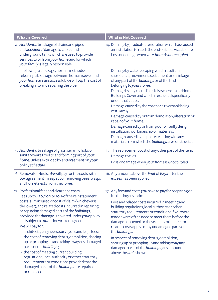| <b>What is Covered</b>                                                                                                                                                                                                                                                                                                                                                                                                                                                                                                                                                                                                                                                                                                                                                              | <b>What is Not Covered</b>                                                                                                                                                                                                                                                                                                                                                                                                                                                                                                                                                                                                                             |  |  |  |
|-------------------------------------------------------------------------------------------------------------------------------------------------------------------------------------------------------------------------------------------------------------------------------------------------------------------------------------------------------------------------------------------------------------------------------------------------------------------------------------------------------------------------------------------------------------------------------------------------------------------------------------------------------------------------------------------------------------------------------------------------------------------------------------|--------------------------------------------------------------------------------------------------------------------------------------------------------------------------------------------------------------------------------------------------------------------------------------------------------------------------------------------------------------------------------------------------------------------------------------------------------------------------------------------------------------------------------------------------------------------------------------------------------------------------------------------------------|--|--|--|
| 14. Accidental breakage of drains and pipes<br>and accidental damage to cables and<br>underground tanks which are used to provide<br>services to or from your home and for which<br>your family is legally responsible.                                                                                                                                                                                                                                                                                                                                                                                                                                                                                                                                                             | 14. Damage by gradual deterioration which has caused<br>an installation to reach the end of its serviceable life.<br>Loss or damage when your home is unoccupied.                                                                                                                                                                                                                                                                                                                                                                                                                                                                                      |  |  |  |
| If following a blockage, normal methods of<br>releasing a blockage between the main sewer and<br>your home are unsuccessful, we will pay the cost of<br>breaking into and repairing the pipe.                                                                                                                                                                                                                                                                                                                                                                                                                                                                                                                                                                                       | Damage by water escaping which results in<br>subsidence, movement, settlement or shrinkage<br>of any part of the buildings or of the land<br>belonging to your home.<br>Damage by any cause listed elsewhere in the Home<br>Buildings Cover and which is excluded specifically<br>under that cause.<br>Damage caused by the coast or a riverbank being<br>worn away.<br>Damage caused by or from demolition, alteration or<br>repair of your home.<br>Damage caused by or from poor or faulty design,<br>installation, workmanship or materials.<br>Damage caused by sulphate reacting with any<br>materials from which the buildings are constructed. |  |  |  |
| 15. Accidental breakage of glass, ceramic hobs or<br>sanitary ware fixed to and forming part of your<br>home. Unless excluded by endorsement on your<br>policy schedule.                                                                                                                                                                                                                                                                                                                                                                                                                                                                                                                                                                                                            | 15. The replacement cost of any other part of the item.<br>Damage to tiles.<br>Loss or damage when your home is unoccupied.                                                                                                                                                                                                                                                                                                                                                                                                                                                                                                                            |  |  |  |
| 16. Removal of Nests. We will pay for the costs with<br>our agreement in respect of removing bees, wasps<br>and hornet nests from the <i>home</i> .                                                                                                                                                                                                                                                                                                                                                                                                                                                                                                                                                                                                                                 | 16. Any amount above the limit of £250 after the<br>excess has been applied.                                                                                                                                                                                                                                                                                                                                                                                                                                                                                                                                                                           |  |  |  |
| 17. Professional fees and clearance costs.<br>Fees up to £50,000 or 10% of the reinstatement<br>costs, sum insured or cost of claim (whichever is<br>the lower), and related costs incurred in repairing<br>or replacing damaged parts of the buildings,<br>provided the damage is covered under your policy<br>and subject to our prior written agreement.<br>We will pay for:<br>- architects, engineers, surveyors and legal fees;<br>- the cost of removing debris, demolition, shoring<br>up or propping up and taking away any damaged<br>parts of the buildings;<br>- the cost of meeting current building<br>regulations, local authority or other statutory<br>requirements or conditions provided that the<br>damaged parts of the buildings are repaired<br>or replaced. | 17. Any fees and costs you have to pay for preparing or<br>furthering any claim.<br>Fees and related costs incurred in meeting any<br>building regulations, local authority or other<br>statutory requirements or conditions if you were<br>made aware of the need to meet them before the<br>damage happened or these or any other fees or<br>related costs apply to any undamaged parts of<br>the buildings.<br>In respect of removing debris, demolition,<br>shoring up or propping up and taking away any<br>damaged parts of the buildings, any amount<br>above the <i>limit</i> shown.                                                           |  |  |  |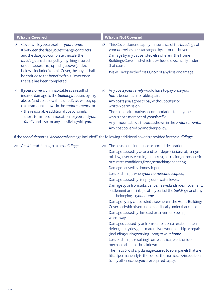| <b>What is Covered</b>                                                                                                                                                                                                                                                                                                                                                  | <b>What is Not Covered</b>                                                                                                                                                                                                                                                                                                                               |  |  |
|-------------------------------------------------------------------------------------------------------------------------------------------------------------------------------------------------------------------------------------------------------------------------------------------------------------------------------------------------------------------------|----------------------------------------------------------------------------------------------------------------------------------------------------------------------------------------------------------------------------------------------------------------------------------------------------------------------------------------------------------|--|--|
| Cover while you are selling your home.<br>18.<br>If between the date you exchange contracts<br>and the date you complete the sale, the<br>buildings are damaged by anything insured<br>under causes 1-10, 14 and 15 above (and 20<br>below if included) of this Cover, the buyer shall<br>be entitled to the benefit of this Cover once<br>the sale has been completed. | 18. This Cover does not apply if insurance of the buildings of<br>your home has been arranged by or for the buyer.<br>Damage by any cause listed elsewhere in the Home<br>Buildings Cover and which is excluded specifically under<br>that cause.<br>We will not pay the first $£1,000$ of any loss or damage.                                           |  |  |
| If your home is uninhabitable as a result of<br>19.<br>insured damage to the <i>buildings</i> caused by 1-15<br>above (and 20 below if included), we will pay up<br>to the amount shown in the endorsements for:<br>- the reasonable additional cost of similar<br>short-term accommodation for you and your<br>family and also for any pets living with you.           | 19. Any costs your family would have to pay once your<br>home becomes habitable again.<br>Any costs you agree to pay without our prior<br>written permission.<br>The cost of alternative accommodation for anyone<br>who is not a member of your family.<br>Any amount above the limit shown in the endorsements.<br>Any cost covered by another policy. |  |  |

If the *schedule* states "*Accidental* damage included", the following additional cover is provided for the *buildings*:

| 20. Accidental damage to the buildings. | 20. The costs of maintenance or normal decoration.<br>Damage caused by wear and tear, depreciation, rot, fungus,<br>mildew, insects, vermin, damp, rust, corrosion, atmospheric<br>or climate conditions, frost, scratching or denting.<br>Damage caused by domestic pets.<br>Loss or damage when your home is unoccupied,<br>Damage caused by rising groundwater levels.<br>Damage by or from subsidence, heave, landslide, movement,<br>settlement or shrinkage of any part of the buildings or of any<br>land belonging to your home.<br>Damage by any cause listed elsewhere in the Home Buildings<br>Cover and which is excluded specifically under that cause.<br>Damage caused by the coast or a riverbank being<br>worn away.<br>Damaged caused by or from demolition, alteration, latent<br>defect, faulty designed materials or workmanship or repair<br>(including during working upon) to your home.<br>Loss or damage resulting from electrical, electronic or<br>mechanical fault of breakdown.<br>The first £250 of any damage caused to solar panels that are |
|-----------------------------------------|-------------------------------------------------------------------------------------------------------------------------------------------------------------------------------------------------------------------------------------------------------------------------------------------------------------------------------------------------------------------------------------------------------------------------------------------------------------------------------------------------------------------------------------------------------------------------------------------------------------------------------------------------------------------------------------------------------------------------------------------------------------------------------------------------------------------------------------------------------------------------------------------------------------------------------------------------------------------------------------------------------------------------------------------------------------------------------|
|                                         | fitted permanently to the roof of the main home in addition<br>to any other excess you are required to pay.                                                                                                                                                                                                                                                                                                                                                                                                                                                                                                                                                                                                                                                                                                                                                                                                                                                                                                                                                                   |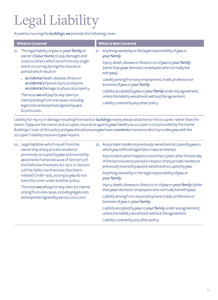## Legal Liability

As well as insuring the *buildings*, *we* provide the following cover:

| <b>What is Covered</b>                                                                                                                                                                                          | <b>What is Not Covered</b>                                                                                                                                                                                             |
|-----------------------------------------------------------------------------------------------------------------------------------------------------------------------------------------------------------------|------------------------------------------------------------------------------------------------------------------------------------------------------------------------------------------------------------------------|
| The legal liability of you or your family as<br>21.<br>owner of your home, to pay damages and<br>costs to others which arise from any single<br>event occurring during the insurance<br>period which result in: | Anything owned by or the legal responsibility of you or<br>21.<br>your family.<br>Injury, death, disease or illness to or of you or your family<br>(other than your domestic employees who normally live<br>with you). |
| - accidental death, disease, illness or<br>accidental physical injury to anyone;<br>accidental damage to physical property.<br>$\sim$                                                                           | Liability arising from any employment, trade, profession or<br>business of you or your family.                                                                                                                         |
| The most we will pay for any claim (or<br>claims) arising from one cause, including<br>legal costs and expenses agreed by us is<br>£2,000,000.                                                                  | Liability accepted by you or your family under any agreement,<br>unless the liability would exist without the agreement.<br>Liability covered by any other policy.                                                     |

Liability for injury or damage resulting from land or *buildings* nearly always attaches to the occupier, rather than the owner. If *you* are the owner and occupier, insurance against *your* liability as occupier is not provided by the Home Buildings Cover of this policy and *you* should ensure *you* have a *contents* insurance which provides *you* with the occupier's liability insurance *you* require.

22. Legal liabilities which result from the ownership of any private residence previously occupied by *you* and insured by *us* and which arise because of Section 3 of the Defective Premises Act 1972 or Section 5 of the Defective Premises (Northern Ireland) Order 1975, as long as *you* do not have this cover under another policy.

The most *we* will pay for any claim (or claims) arising from one cause, including legal costs and expenses agreed by *us* is £2,000,000.

22. Any private residence previously owned and occupied by *you* in which *you* still hold legal title or have an interest.

Any incident which happens more than 7 years after the last day of the last insurance period in respect of any private residence previously insured by *us* and owned and occupied by *you*.

Anything owned by or the legal responsibility of *you* or *yourfamily*.

Injury, death, disease or illness to or of *you* or *yourfamily* (other than *your* domestic employees who normally live with *you*).

Liability arising from any employment, trade, profession or business of *you* or *yourfamily*.

Liability accepted by *you* or *yourfamily* under any agreement, unless the liability would exist without the agreement. Liability covered by any other policy.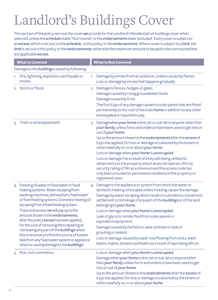## Landlord's Buildings Cover

This section of the policy sets out the cover *we* provide for the Landlord's Residential Let buildings cover when selected, unless the *schedule* states 'Not Insured' or the *endorsements* state 'excluded'. Every cover is subject to an *excess*, which is set out on the *schedule* , in this policy or the *endorsements*. Where cover is subject to a *limit*, the *limit* is set out in this policy or the *endorsements*: otherwise the maximum amount to be paid is the sum insured less any applicable *excess*.

| <b>What is Covered</b>                                                                                                                                                                                                                                                                                                                                                                                                                                                                                                                                                                                  |    | <b>What is Not Covered</b>                                                                                                                                                                                                                                                                                                                                                                                                                                                                                                                                                                                                                                                                 |  |  |  |  |  |
|---------------------------------------------------------------------------------------------------------------------------------------------------------------------------------------------------------------------------------------------------------------------------------------------------------------------------------------------------------------------------------------------------------------------------------------------------------------------------------------------------------------------------------------------------------------------------------------------------------|----|--------------------------------------------------------------------------------------------------------------------------------------------------------------------------------------------------------------------------------------------------------------------------------------------------------------------------------------------------------------------------------------------------------------------------------------------------------------------------------------------------------------------------------------------------------------------------------------------------------------------------------------------------------------------------------------------|--|--|--|--|--|
| Damage to the buildings caused by following:                                                                                                                                                                                                                                                                                                                                                                                                                                                                                                                                                            |    |                                                                                                                                                                                                                                                                                                                                                                                                                                                                                                                                                                                                                                                                                            |  |  |  |  |  |
| 1. Fire, lightning, explosion, earthquake or<br>smoke.                                                                                                                                                                                                                                                                                                                                                                                                                                                                                                                                                  | 1. | Damage by smoke from air pollution, unless caused by flames.<br>Loss or damage by smoke that happens gradually.                                                                                                                                                                                                                                                                                                                                                                                                                                                                                                                                                                            |  |  |  |  |  |
| 2. Storm or flood.                                                                                                                                                                                                                                                                                                                                                                                                                                                                                                                                                                                      |    | 2. Damage to fences, hedges or gates.<br>Damage caused by rising groundwater levels.<br>Damage caused by frost.<br>The first £250 of any damage caused to solar panels that are fitted<br>permanently to the roof of the main home in addition to any other<br>excess you are required to pay.                                                                                                                                                                                                                                                                                                                                                                                             |  |  |  |  |  |
| 3. Theft or attempted theft.                                                                                                                                                                                                                                                                                                                                                                                                                                                                                                                                                                            |    | 3. Damage when your home is lent, let or sub-let to anyone other than<br>your family, unless force and violence have been used to get into or<br>out of your home.<br>Up to the amount shown in the endorsements after the excess of<br>£250 has applied, for loss or damage occasioned by the tenant or<br>others lawfully on, in or about your home.<br>Loss or damage when your home is unoccupied.<br>Loss or damage if as a result of a Key safe being utilised to<br>obtain entry to the property which does not have an LPS1175<br>security rating of SR1 as a minimum and the access code has<br>only been provided to permanent residents of the property or<br>registered carer. |  |  |  |  |  |
| 4. Freezing of water in fixed water or fixed<br>heating systems. Water escaping from<br>washing machines, dishwashers, fixed water<br>or fixed heating systems. Domestic heating oil<br>escaping from a fixed heating system.<br>Trace and access: we will pay up to the<br>amount shown in the endorsements,<br>after the policy excess has been applied,<br>for the cost of removing then repairing or<br>reinstating any part of the buildings when<br>this is necessary to find the source of a water<br>leak from any fixed water system or appliance<br>which is causing damage to the buildings. |    | 4. Damage to the appliance or system from which the water or<br>domestic heating oil escapes unless freezing causes the damage.<br>Damage by water escaping which results in subsidence, movement,<br>settlement or shrinkage of any part of the buildings or of the land<br>belonging to your home.<br>Loss or damage when your home is unoccupied.<br>Leak of glycol or similar fluid from solar panels or<br>equivalent equipment.<br>Damage caused by the failure, wear and tear or lack of<br>grouting or sealant.<br>Loss or damage caused by water overflowing from sinks, wash<br>basins, bidets, showers and baths as a result of taps being left on.                             |  |  |  |  |  |
| 5. Riot, civil commotion.                                                                                                                                                                                                                                                                                                                                                                                                                                                                                                                                                                               |    | Loss or damage when your home is unoccupied.<br>Damage when your home is lent, let or sub-let to anyone other<br>than your family unless force and violence have been used to get<br>into or out of your home.<br>Up to the amount shown in the endorsements after the excess of<br>£250 has applied, for loss or damage occasioned by the tenant or<br>others lawfully on, in or about your home.                                                                                                                                                                                                                                                                                         |  |  |  |  |  |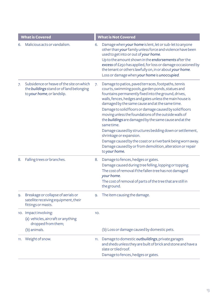| <b>What is Covered</b> |                                                                                                                    |     | <b>What is Not Covered</b>                                                                                                                                                                                                                                                                                                                                                                                                                                                                                                                                                                                                                                                                                    |
|------------------------|--------------------------------------------------------------------------------------------------------------------|-----|---------------------------------------------------------------------------------------------------------------------------------------------------------------------------------------------------------------------------------------------------------------------------------------------------------------------------------------------------------------------------------------------------------------------------------------------------------------------------------------------------------------------------------------------------------------------------------------------------------------------------------------------------------------------------------------------------------------|
| 6.                     | Malicious acts or vandalism.                                                                                       | 6.  | Damage when your home is lent, let or sub-let to anyone<br>other than your family unless force and violence have been<br>used to get into or out of your home.<br>Up to the amount shown in the endorsements after the<br>excess of £250 has applied, for loss or damage occasioned by<br>the tenant or others lawfully on, in or about your home.<br>Loss or damage when your home is unoccupied.                                                                                                                                                                                                                                                                                                            |
| 7.                     | Subsidence or heave of the site on which<br>the buildings stand or of land belonging<br>to your home, or landslip. | 7.  | Damage to patios, paved terraces, footpaths, tennis<br>courts, swimming pools, garden ponds, statues and<br>fountains permanently fixed into the ground, drives,<br>walls, fences, hedges and gates unless the main house is<br>damaged by the same cause and at the same time.<br>Damage to solid floors or damage caused by solid floors<br>moving unless the foundations of the outside walls of<br>the buildings are damaged by the same cause and at the<br>same time.<br>Damage caused by structures bedding down or settlement,<br>shrinkage or expansion.<br>Damage caused by the coast or a riverbank being worn away.<br>Damage caused by or from demolition, alteration or repair<br>to your home. |
| 8.                     | Falling trees or branches.                                                                                         | 8.  | Damage to fences, hedges or gates.<br>Damage caused during tree felling, lopping or topping.<br>The cost of removal if the fallen tree has not damaged<br>your home.<br>The cost of removal of parts of the tree that are still in<br>the ground.                                                                                                                                                                                                                                                                                                                                                                                                                                                             |
| 9.                     | Breakage or collapse of aerials or<br>satellite receiving equipment, their<br>fittings or masts.                   | 9.  | The item causing the damage.                                                                                                                                                                                                                                                                                                                                                                                                                                                                                                                                                                                                                                                                                  |
|                        | 10. Impact involving:<br>(a) vehicles, aircraft or anything<br>dropped from them;                                  | 10. |                                                                                                                                                                                                                                                                                                                                                                                                                                                                                                                                                                                                                                                                                                               |
|                        | (b) animals.                                                                                                       |     | (b) Loss or damage caused by domestic pets.                                                                                                                                                                                                                                                                                                                                                                                                                                                                                                                                                                                                                                                                   |
| 11.                    | Weight of snow.                                                                                                    | 11. | Damage to domestic outbuildings, private garages<br>and sheds unless they are built of brick and stone and have a<br>slate or tiled roof.<br>Damage to fences, hedges or gates.                                                                                                                                                                                                                                                                                                                                                                                                                                                                                                                               |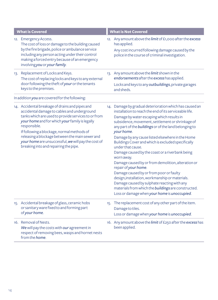| <b>What is Covered</b>                                                                                                                                                                                                                                                                                                                                                                                                   | <b>What is Not Covered</b>                                                                                                                                                                                                                                                                                                                                                                                                                                                                                                                                                                                                                                                                                                                                                                                                  |
|--------------------------------------------------------------------------------------------------------------------------------------------------------------------------------------------------------------------------------------------------------------------------------------------------------------------------------------------------------------------------------------------------------------------------|-----------------------------------------------------------------------------------------------------------------------------------------------------------------------------------------------------------------------------------------------------------------------------------------------------------------------------------------------------------------------------------------------------------------------------------------------------------------------------------------------------------------------------------------------------------------------------------------------------------------------------------------------------------------------------------------------------------------------------------------------------------------------------------------------------------------------------|
| 12. Emergency Access.<br>The cost of loss or damage to the building caused<br>by the fire brigade, police or ambulance service<br>including any person acting under their control<br>making a forced entry because of an emergency<br>involving you or your family.                                                                                                                                                      | 12. Any amount above the limit of £1,000 after the excess<br>has applied.<br>Any cost incurred following damage caused by the<br>police in the course of criminal investigation.                                                                                                                                                                                                                                                                                                                                                                                                                                                                                                                                                                                                                                            |
| 13. Replacement of Locks and Keys.<br>The cost of replacing locks and keys to any external<br>door following the theft of your or the tenants<br>keys to the premises.                                                                                                                                                                                                                                                   | 13. Any amount above the limit shown in the<br>endorsements after the excess has applied.<br>Locks and keys to any outbuildings, private garages<br>and sheds.                                                                                                                                                                                                                                                                                                                                                                                                                                                                                                                                                                                                                                                              |
| In addition you are covered for the following:                                                                                                                                                                                                                                                                                                                                                                           |                                                                                                                                                                                                                                                                                                                                                                                                                                                                                                                                                                                                                                                                                                                                                                                                                             |
| 14. Accidental breakage of drains and pipes and<br>accidental damage to cables and underground<br>tanks which are used to provide services to or from<br>your home and for which your family is legally<br>responsible.<br>If following a blockage, normal methods of<br>releasing a blockage between the main sewer and<br>your home are unsuccessful, we will pay the cost of<br>breaking into and repairing the pipe. | 14. Damage by gradual deterioration which has caused an<br>installation to reach the end of its serviceable life.<br>Damage by water escaping which results in<br>subsidence, movement, settlement or shrinkage of<br>any part of the buildings or of the land belonging to<br>your home.<br>Damage by any cause listed elsewhere in the Home<br>Buildings Cover and which is excluded specifically<br>under that cause.<br>Damage caused by the coast or a riverbank being<br>worn away.<br>Damage caused by or from demolition, alteration or<br>repair of your home.<br>Damage caused by or from poor or faulty<br>design, installation, workmanship or materials.<br>Damage caused by sulphate reacting with any<br>materials from which the buildings are constructed.<br>Loss or damage when your home is unoccupied. |
| 15. Accidental breakage of glass, ceramic hobs<br>or sanitary ware fixed to and forming part<br>of your home.                                                                                                                                                                                                                                                                                                            | 15. The replacement cost of any other part of the item.<br>Damage to tiles.<br>Loss or damage when your home is unoccupied.                                                                                                                                                                                                                                                                                                                                                                                                                                                                                                                                                                                                                                                                                                 |
| 16. Removal of Nests.<br>We will pay the costs with our agreement in<br>respect of removing bees, wasps and hornet nests<br>from the <i>home</i> .                                                                                                                                                                                                                                                                       | 16. Any amount above the limit of £250 after the excess has<br>been applied.                                                                                                                                                                                                                                                                                                                                                                                                                                                                                                                                                                                                                                                                                                                                                |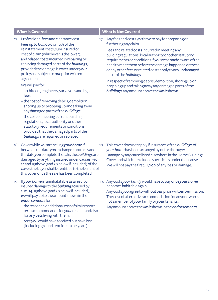| <b>What is Covered</b> |                                                                                                                                                                                                                                                                                                                                                                                                                                                                                                                                                                                                                                                                                                                                                                                       |     | <b>What is Not Covered</b>                                                                                                                                                                                                                                                                                                                                                                                                                                                                                                                                                  |
|------------------------|---------------------------------------------------------------------------------------------------------------------------------------------------------------------------------------------------------------------------------------------------------------------------------------------------------------------------------------------------------------------------------------------------------------------------------------------------------------------------------------------------------------------------------------------------------------------------------------------------------------------------------------------------------------------------------------------------------------------------------------------------------------------------------------|-----|-----------------------------------------------------------------------------------------------------------------------------------------------------------------------------------------------------------------------------------------------------------------------------------------------------------------------------------------------------------------------------------------------------------------------------------------------------------------------------------------------------------------------------------------------------------------------------|
| 17.                    | Professional fees and clearance cost.<br>Fees up to £50,000 or 10% of the<br>reinstatement costs, sum insured or<br>cost of claim (whichever is the lower),<br>and related costs incurred in repairing or<br>replacing damaged parts of the buildings,<br>provided the damage is cover under your<br>policy and subject to our prior written<br>agreement.<br>We will pay for:<br>- architects, engineers, surveyors and legal<br>fees;<br>- the cost of removing debris, demolition,<br>shoring up or propping up and taking away<br>any damaged parts of the buildings.<br>- the cost of meeting current building<br>regulations, local authority or other<br>statutory requirements or conditions<br>provided that the damaged parts of the<br>buildings are repaired or replaced. | 17. | Any fees and costs you have to pay for preparing or<br>furthering any claim.<br>Fees and related costs incurred in meeting any<br>building regulations, local authority or other statutory<br>requirements or conditions if you were made aware of the<br>need to meet them before the damage happened or these<br>or any other fees or related costs apply to any undamaged<br>parts of the buildings.<br>In respect of removing debris, demolition, shoring up or<br>propping up and taking away any damaged parts of the<br>buildings, any amount above the limit shown. |
|                        | 18. Cover while you are selling your home if<br>between the date you exchange contracts and<br>the date you complete the sale, the buildings are<br>damaged by anything insured under causes 1-10,<br>14 and 15 above (and 20 below if included) of the<br>cover, the buyer shall be entitled to the benefit of<br>this cover once the sale has been completed.                                                                                                                                                                                                                                                                                                                                                                                                                       |     | 18. This cover does not apply if insurance of the buildings of<br>your home has been arranged by or for the buyer.<br>Damage by any cause listed elsewhere in the Home Buildings<br>Cover and which is excluded specifically under that cause.<br>We will not pay the first £1,000 of any loss or damage.                                                                                                                                                                                                                                                                   |
|                        | 19. If your home in uninhabitable as a result of<br>insured damage to the <i>buildings</i> caused by<br>1-10, 14, 15 above (and 20 below if included),<br>we will pay up to the amount shown in the<br>endorsements for:<br>- the reasonable additional cost of similar short-<br>term accommodation for your tenants and also<br>for any pets living with them.<br>- rent you would have received but have lost<br>(including ground rent for up to 2 years).                                                                                                                                                                                                                                                                                                                        |     | 19. Any costs your family would have to pay once your home<br>becomes habitable again.<br>Any costs you agree to without our prior written permission.<br>The cost of alternative accommodation for anyone who is<br>not a member of your family or your tenants.<br>Any amount above the limit shown in the endorsements.                                                                                                                                                                                                                                                  |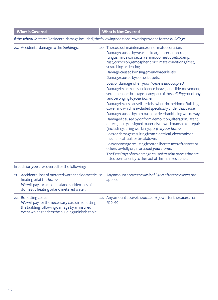| <b>What is Covered</b> |                                                                                                                                                                               |  | <b>What is Not Covered</b>                                                                                                                                                                                                                                                                                                                                                                                                                                                                                                                                                                                                                                                                                                                                                                                                                                                                                                                                                                 |
|------------------------|-------------------------------------------------------------------------------------------------------------------------------------------------------------------------------|--|--------------------------------------------------------------------------------------------------------------------------------------------------------------------------------------------------------------------------------------------------------------------------------------------------------------------------------------------------------------------------------------------------------------------------------------------------------------------------------------------------------------------------------------------------------------------------------------------------------------------------------------------------------------------------------------------------------------------------------------------------------------------------------------------------------------------------------------------------------------------------------------------------------------------------------------------------------------------------------------------|
|                        |                                                                                                                                                                               |  | If the schedule states 'Accidental damage included', the following additional cover is provided for the buildings.                                                                                                                                                                                                                                                                                                                                                                                                                                                                                                                                                                                                                                                                                                                                                                                                                                                                         |
|                        | 20. Accidental damage to the buildings.                                                                                                                                       |  | 20. The costs of maintenance or normal decoration.<br>Damage caused by wear and tear, depreciation, rot,<br>fungus, mildew, insects, vermin, domestic pets, damp,<br>rust, corrosion, atmospheric or climate conditions, frost,<br>scratching or denting.<br>Damage caused by rising groundwater levels.<br>Damage caused by domestic pets.<br>Loss or damage when your home is unoccupied.<br>Damage by or from subsidence, heave, landslide, movement,<br>settlement or shrinkage of any part of the buildings or of any<br>land belonging to your home.<br>Damage by any cause listed elsewhere in the Home Buildings<br>Cover and which is excluded specifically under that cause.<br>Damage caused by the coast or a riverbank being worn away.<br>Damaged caused by or from demolition, alteration, latent<br>defect, faulty designed materials or workmanship or repair<br>(including during working upon) to your home.<br>Loss or damage resulting from electrical, electronic or |
|                        |                                                                                                                                                                               |  | mechanical fault or breakdown.<br>Loss or damage resulting from deliberate acts of tenants or<br>others lawfully on, in or about your home.<br>The first £250 of any damage caused to solar panels that are<br>fitted permanently to the roof of the main residence.                                                                                                                                                                                                                                                                                                                                                                                                                                                                                                                                                                                                                                                                                                                       |
|                        | In addition you are covered for the following:                                                                                                                                |  |                                                                                                                                                                                                                                                                                                                                                                                                                                                                                                                                                                                                                                                                                                                                                                                                                                                                                                                                                                                            |
|                        | 21. Accidental loss of metered water and domestic 21.<br>heating oil at the home.<br>We will pay for accidental and sudden loss of<br>domestic heating oil and metered water. |  | Any amount above the limit of £500 after the excess has<br>applied.                                                                                                                                                                                                                                                                                                                                                                                                                                                                                                                                                                                                                                                                                                                                                                                                                                                                                                                        |
|                        | 22. Re-letting costs<br>We will pay for the necessary costs in re-letting<br>the building following damage by an insured<br>event which renders the building uninhabitable.   |  | 22. Any amount above the limit of £500 after the excess has<br>applied.                                                                                                                                                                                                                                                                                                                                                                                                                                                                                                                                                                                                                                                                                                                                                                                                                                                                                                                    |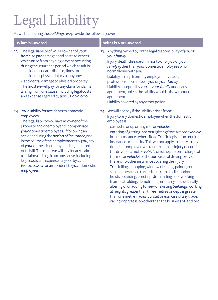## Legal Liability

As well as insuring the *buildings*, *we* provide the following cover:

| <b>What is Covered</b> |                                                                                                                                                                                                                                                                                                                                                                                                                                                                                                                                                                  | <b>What is Not Covered</b>                                                                                                                                                                                                                                                                                                                                                                                                                                                                                                                                                                                                                                                                                                                                                                                                                                                                                                                                                                                                                                                                  |
|------------------------|------------------------------------------------------------------------------------------------------------------------------------------------------------------------------------------------------------------------------------------------------------------------------------------------------------------------------------------------------------------------------------------------------------------------------------------------------------------------------------------------------------------------------------------------------------------|---------------------------------------------------------------------------------------------------------------------------------------------------------------------------------------------------------------------------------------------------------------------------------------------------------------------------------------------------------------------------------------------------------------------------------------------------------------------------------------------------------------------------------------------------------------------------------------------------------------------------------------------------------------------------------------------------------------------------------------------------------------------------------------------------------------------------------------------------------------------------------------------------------------------------------------------------------------------------------------------------------------------------------------------------------------------------------------------|
|                        | 23. The legal liability of you as owner of your<br>home, to pay damages and costs to others<br>which arise from any single event occurring<br>during the insurance period which result in:<br>- accidental death, disease, illness or<br>accidental physical injury to anyone;<br>- accidental damage to physical property.<br>The most we will pay for any claim (or claims)<br>arising from one cause, including legal costs<br>and expenses agreed by us is £2,000,000.                                                                                       | 23. Anything owned by or the legal responsibility of you or<br>your family.<br>Injury, death, disease or illness to or of you or your<br>family (other than your domestic employees who<br>normally live with you).<br>Liability arising from any employment, trade,<br>profession or business of you or your family.<br>Liability accepted by you or your family under any<br>agreement, unless the liability would exist without the<br>agreement.<br>Liability covered by any other policy.                                                                                                                                                                                                                                                                                                                                                                                                                                                                                                                                                                                              |
|                        | 24. Your liability for accidents to domestic<br>employees.<br>The legal liability you have as owner of the<br>property and or employer to compensate<br>your domestic employees. If following an<br>accident during the period of insurance, and<br>in the course of their employment to, you, any<br>of your domestic employees dies, is injured<br>or falls ill. The most we will pay for any claim<br>(or claims) arising from one cause, including<br>legal costs and expenses agreed by us is<br>£10,000,000 for an accident to your domestic<br>employees. | 24. We will not pay if the liability arises from:<br>Injury to any domestic employee when the domestic<br>employee is:<br>- carried in or up on any motor vehicle;<br>- entering of getting into or a lighting from a motor vehicle<br>in circumstances where Road Traffic legislation requires<br>insurance or security. This will not apply to injury to any<br>domestic employee who at the time the injury occurs is<br>the driver of a motor vehicle or is the person in charge of<br>the motor vehicle for the purposes of driving provided<br>there is no other insurance covering the injury.<br>Tree felling or lopping, window cleaning, painting or<br>similar operations carried out from cradles and/or<br>hoists providing, erecting, dismantling of or working<br>from scaffolding, demolishing, erecting or structurally<br>altering of or adding to, new or existing buildings working<br>at heights greater than three metres or depths greater<br>than one metre in your pursuit or exercise of any trade,<br>calling or profession other than the business of landlord. |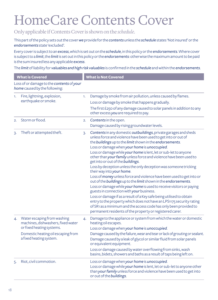## HomeCare Contents Cover

Only applicable if Contents Cover is shown on the *schedule*.

This part of the policy sets out the cover *we* provide for the *contents* unless the *schedule* states 'Not insured' or the *endorsements* state 'excluded'.

Every cover is subject to an *excess*, which is set out on the *schedule*, in this policy or the *endorsements*. Where cover is subject to a *limit*, the *limit* is set out in this policy or the *endorsements*: otherwise the maximum amount to be paid is the sum insured less any applicable *excess*.

The *limit* of liability for *valuables and high risk valuables* is confirmed in the *schedule* and within the *endorsements*.

|                  | <b>What is Covered</b>                                                                                                                                          |    | <b>What is Not Covered</b>                                                                                                                                                                                                                                                                                                                                                                                                                                                                                                                                                                                                                                                                                                                                                                                                                                                                                                                                                                                                                                                      |
|------------------|-----------------------------------------------------------------------------------------------------------------------------------------------------------------|----|---------------------------------------------------------------------------------------------------------------------------------------------------------------------------------------------------------------------------------------------------------------------------------------------------------------------------------------------------------------------------------------------------------------------------------------------------------------------------------------------------------------------------------------------------------------------------------------------------------------------------------------------------------------------------------------------------------------------------------------------------------------------------------------------------------------------------------------------------------------------------------------------------------------------------------------------------------------------------------------------------------------------------------------------------------------------------------|
|                  | Loss of or damage to the contents of your<br>home caused by the following:                                                                                      |    |                                                                                                                                                                                                                                                                                                                                                                                                                                                                                                                                                                                                                                                                                                                                                                                                                                                                                                                                                                                                                                                                                 |
| 1.               | Fire, lightning, explosion,<br>earthquake or smoke.                                                                                                             | 1. | Damage by smoke from air pollution, unless caused by flames.<br>Loss or damage by smoke that happens gradually.<br>The first £250 of any damage caused to solar panels in addition to any<br>other excess you are required to pay.                                                                                                                                                                                                                                                                                                                                                                                                                                                                                                                                                                                                                                                                                                                                                                                                                                              |
| $\overline{2}$ . | Storm or flood.                                                                                                                                                 | 2. | Contents in the open.<br>Damage caused by rising groundwater levels.                                                                                                                                                                                                                                                                                                                                                                                                                                                                                                                                                                                                                                                                                                                                                                                                                                                                                                                                                                                                            |
| 3.               | Theft or attempted theft.                                                                                                                                       | 3. | Contents in any domestic outbuildings, private garages and sheds<br>unless force and violence have been used to get into or out of<br>the buildings up to the limit shown in the endorsements.<br>Loss or damage when your home is unoccupied.<br>Loss or damage while your home is lent, let or sub-let to anyone<br>other than your family unless force and violence have been used to<br>get into or out of the buildings.<br>Loss by deception unless the only deception was someone tricking<br>their way into your home.<br>Loss of money unless force and violence have been used to get into or<br>out of the buildings up to the limit shown in the endorsements.<br>Loss or damage while your home is used to receive visitors or paying<br>guests in connection with your business.<br>Loss or damage if as a result of a Key safe being utilised to obtain<br>entry to the property which does not have an LPS1175 security rating<br>of SR1 as a minimum and the access code has only been provided to<br>permanent residents of the property or registered carer. |
| 4.               | Water escaping from washing<br>machines, dishwashers, fixed water<br>or fixed heating systems.<br>Domestic heating oil escaping from<br>a fixed heating system. | 4. | Damage to the appliance or system from which the water or domestic<br>heating oil escapes.<br>Loss or damage when your home is unoccupied.<br>Damage caused by the failure, wear and tear or lack of grouting or sealant.<br>Damage caused by a leak of glycol or similar fluid from solar panels<br>or equivalent equipment.<br>Loss or damage caused by water overflowing from sinks, wash                                                                                                                                                                                                                                                                                                                                                                                                                                                                                                                                                                                                                                                                                    |
| 5.               | Riot, civil commotion.                                                                                                                                          |    | basins, bidets, showers and baths as a result of taps being left on.<br>Loss or damage when your home is unoccupied.<br>Loss or damage while your home is lent, let or sub-let to anyone other<br>than your family unless force and violence have been used to get into<br>or out of the buildings.                                                                                                                                                                                                                                                                                                                                                                                                                                                                                                                                                                                                                                                                                                                                                                             |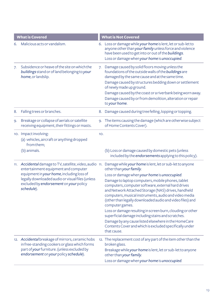|    | <b>What is Covered</b>                                                                                                                                                                        |     | <b>What is Not Covered</b>                                                                                                                                                                                                                                                                                                                                                                       |
|----|-----------------------------------------------------------------------------------------------------------------------------------------------------------------------------------------------|-----|--------------------------------------------------------------------------------------------------------------------------------------------------------------------------------------------------------------------------------------------------------------------------------------------------------------------------------------------------------------------------------------------------|
| 6. | Malicious acts or vandalism.                                                                                                                                                                  |     | 6. Loss or damage while your home is lent, let or sub-let to<br>anyone other than your family unless force and violence<br>have been used to get into or out of the buildings.<br>Loss or damage when your home is unoccupied.                                                                                                                                                                   |
| 7. | Subsidence or heave of the site on which the<br>buildings stand or of land belonging to your<br>home, or landslip.                                                                            |     | 7. Damage caused by solid floors moving unless the<br>foundations of the outside walls of the buildings are<br>damaged by the same cause and at the same time.<br>Damage caused by structures bedding down or settlement<br>of newly made up ground.<br>Damage caused by the coast or a riverbank being worn away.<br>Damage caused by or from demolition, alteration or repair<br>to your home. |
| 8. | Falling trees or branches.                                                                                                                                                                    |     | 8. Damage caused during tree felling, lopping or topping.                                                                                                                                                                                                                                                                                                                                        |
| 9. | Breakage or collapse of aerials or satellite<br>receiving equipment, their fittings or masts.                                                                                                 |     | 9. The items causing the damage (which are otherwise subject<br>of Home Contents Cover).                                                                                                                                                                                                                                                                                                         |
|    | 10. Impact involving:<br>(a) vehicles, aircraft or anything dropped<br>from them;                                                                                                             | 10. |                                                                                                                                                                                                                                                                                                                                                                                                  |
|    | (b) animals.                                                                                                                                                                                  |     | (b) Loss or damage caused by domestic pets (unless<br>included by the endorsements applying to this policy).                                                                                                                                                                                                                                                                                     |
|    | entertainment equipment and computer<br>equipment in your home, including loss of<br>legally downloaded audio or visual files (unless<br>excluded by endorsement on your policy<br>schedule). |     | 11. Accidental damage to TV, satellite, video, audio 11. Damage while your home is lent, let or sub-let to anyone<br>other than your family.                                                                                                                                                                                                                                                     |
|    |                                                                                                                                                                                               |     | Loss or damage when your home is unoccupied.                                                                                                                                                                                                                                                                                                                                                     |
|    |                                                                                                                                                                                               |     | Damage to laptop computers, mobile phones, tablet<br>computers, computer software, external hard drives<br>and Network Attached Storage (NAS) drives, handheld<br>computers, musical instruments, audio and video media<br>(other than legally downloaded audio and video files) and<br>computer games.                                                                                          |
|    |                                                                                                                                                                                               |     | Loss or damage resulting in screen burn, clouding or other<br>superficial damage including stains and scratches.                                                                                                                                                                                                                                                                                 |
|    |                                                                                                                                                                                               |     | Damage by any cause listed elsewhere in the HomeCare<br>Contents Cover and which is excluded specifically under<br>that cause.                                                                                                                                                                                                                                                                   |
|    | 12. Accidental breakage of mirrors, ceramic hobs<br>in free-standing cookers or glass which forms<br>part of your furniture. (unless excluded by<br>endorsement on your policy schedule).     |     | 12. The replacement cost of any part of the item other than the<br>broken glass.                                                                                                                                                                                                                                                                                                                 |
|    |                                                                                                                                                                                               |     | Breakage while your home is lent, let or sub-let to anyone<br>other than your family.                                                                                                                                                                                                                                                                                                            |
|    |                                                                                                                                                                                               |     | Loss or damage when your home is unoccupied.                                                                                                                                                                                                                                                                                                                                                     |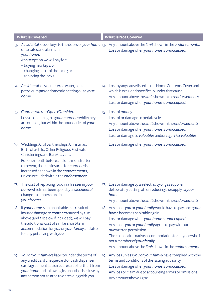| <b>What is Covered</b>                                                                                                                                                                                                                                                                                         | <b>What is Not Covered</b>                                                                                                                                                                                                                                                                                                                                                        |
|----------------------------------------------------------------------------------------------------------------------------------------------------------------------------------------------------------------------------------------------------------------------------------------------------------------|-----------------------------------------------------------------------------------------------------------------------------------------------------------------------------------------------------------------------------------------------------------------------------------------------------------------------------------------------------------------------------------|
| or to safes and alarms in<br>your home.<br>At our option we will pay for:<br>- buying new keys; or<br>- changing parts of the locks; or<br>- replacing the locks.                                                                                                                                              | 13. Accidental loss of keys to the doors of your home 13. Any amount above the limit shown in the endorsements.<br>Loss or damage when your home is unoccupied.                                                                                                                                                                                                                   |
| 14. Accidental loss of metered water, liquid<br>petroleum gas or domestic heating oil at your<br>home.                                                                                                                                                                                                         | 14. Loss by any cause listed in the Home Contents Cover and<br>which is excluded specifically under that cause.<br>Any amount above the limit shown in the endorsements.<br>Loss or damage when your home is unoccupied.                                                                                                                                                          |
| 15. Contents in the Open (Outside).<br>Loss of or damage to your contents while they<br>are outside, but within the boundaries of your<br>home.                                                                                                                                                                | 15. Loss of money.<br>Loss of or damage to pedal cycles.<br>Any amount above the limit shown in the endorsements.<br>Loss or damage when your home is unoccupied.<br>Loss or damage to valuables and/or high risk valuables.                                                                                                                                                      |
| 16. Weddings, Civil partnerships, Christmas,<br>Birth of a child, Other Religious Festivals,<br>Christenings and Bar Mitzvahs.<br>For one month before and one month after<br>the event, the sum insured for contents is<br>increased as shown in the endorsements,<br>unless excluded within the endorsement. | Loss or damage when your home is unoccupied.                                                                                                                                                                                                                                                                                                                                      |
| 17. The cost of replacing food in a freezer in your<br>home which has been spoilt by an accidental<br>change in temperature in<br>your freezer.                                                                                                                                                                | 17. Loss or damage by an electricity or gas supplier<br>deliberately cutting off or reducing the supply to your<br>home.<br>Any amount above the limit shown in the endorsements.                                                                                                                                                                                                 |
| 18. If your home is uninhabitable as a result of<br>insured damage to contents caused by 1-10<br>above (and 21 below if included), we will pay<br>the additional cost of similar short-term<br>accommodation for you or your family and also<br>for any pets living with you.                                  | 18. Any costs you or your family would have to pay once your<br>home becomes habitable again.<br>Loss or damage when your home is unoccupied.<br>Any costs you or your family agree to pay without<br>our written permission.<br>The cost of alternative accommodation for anyone who is<br>not a member of your family.<br>Any amount above the limit shown in the endorsements. |
| 19. You or your family's liability under the terms of<br>any credit card cheque card or cash dispenser<br>card agreement as a direct result of its theft from<br>your home and following its unauthorised use by<br>any person not related to or residing with you.                                            | 19. Any loss unless you or your family have complied with the<br>terms and conditions of the issuing authority.<br>Loss or damage when your home is unoccupied.<br>Any loss or claim due to accounting errors or omissions.<br>Any amount above £500.                                                                                                                             |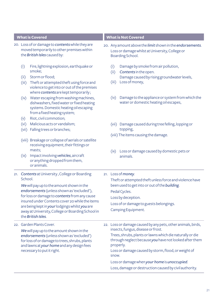- 20. Loss of or damage to *contents* while they are moved temporarily to other premises within the *British Isles* caused by:
	- (i) Fire, lightning explosion, earthquake or smoke;
	- (ii) Storm or flood;
	- (iii) Theft or attempted theft using force and violence to get into or out of the premises where *contents* are kept temporarily ;
	- (iv) Water escaping from washing machines, dishwashers, fixed water or fixed heating systems. Domestic heating oil escaping from a fixed heating system;
	- (v) Riot, civil commotion;
	- (vi) Malicious acts or vandalism;
	- (vii) Falling trees or branches;
	- (viii) Breakage or collapse of aerials or satellite receiving equipment, their fittings or masts;
	- (ix) Impact involving *vehicles*, aircraft or anything dropped from them, or animals.
- 21. *Contents* at University , College or Boarding School.

*We* will pay up to the amount shown in the *endorsements* (unless shown as 'excluded'), for loss or damage to *contents* from any cause insured under Contents cover 20 while the items are being kept in *your* lodgings whilst *you* are away at University, College or Boarding School in the *British Isles*.

22. Garden Plants Cover.

*We* will pay up to the amount shown in the *endorsements* (unless shown as 'excluded') for loss of or damage to trees, shrubs, plants and lawns at *your home* and any design fees necessary to put it right.

#### **What is Covered What is Not Covered**

- 20. Any amount above the *limit* shown in the *endorsements*. Loss or damage whilst at University, College or Boarding School.
	- (i) Damage by smoke from air pollution,
	- (ii) *Contents* in the open. Damage caused by rising groundwater levels,
	- (iii) Loss of money,
	- (iv) Damage to the appliance or system from which the water or domestic heating oil escapes,
	- (vii) Damage caused during tree felling, lopping or topping,
	- (viii) The items causing the damage.
	- (ix) Loss or damage caused by domestic pets or animals.
- 21. Loss of *money*.

Theft or attempted theft unless force and violence have been used to get into or out of the *building*. Pedal Cycles. Loss by deception. Loss of or damage to guests belongings.

- Camping Equipment.
- 22. Loss or damage caused by any pets, other animals, birds, insects, fungus, disease or frost. Trees, shrubs, plants or lawns which die naturally or die through neglect because *you* have not looked after them properly. Loss or damage caused by storm, flood, or weight of snow.
	- Loss or damage when *your home* is *unoccupied*.
	- Loss, damage or destruction caused by civil authority.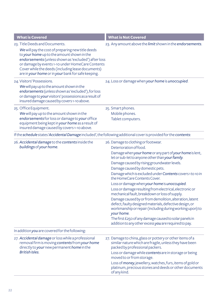| <b>What is Covered</b>                                                                                                                                                                                                                                                                                                                                   | <b>What is Not Covered</b>                                                                                                                                                                                                                                                                                                                                                                                                                                                                                                                                                                                                                                                                                                                                                                                                                  |
|----------------------------------------------------------------------------------------------------------------------------------------------------------------------------------------------------------------------------------------------------------------------------------------------------------------------------------------------------------|---------------------------------------------------------------------------------------------------------------------------------------------------------------------------------------------------------------------------------------------------------------------------------------------------------------------------------------------------------------------------------------------------------------------------------------------------------------------------------------------------------------------------------------------------------------------------------------------------------------------------------------------------------------------------------------------------------------------------------------------------------------------------------------------------------------------------------------------|
| 23. Title Deeds and Documents.<br>We will pay the cost of preparing new title deeds<br>to your home up to the amount shown in the<br>endorsements (unless shown as 'excluded') after loss<br>or damage by events 1-10 under HomeCare Contents<br>Cover while the deeds (including lease documents)<br>are in your home or in your bank for safe keeping. | 23. Any amount above the limit shown in the endorsements.                                                                                                                                                                                                                                                                                                                                                                                                                                                                                                                                                                                                                                                                                                                                                                                   |
| 24. Visitors' Possessions.<br>We will pay up to the amount shown in the<br>endorsements (unless shown as 'excluded'), for loss<br>or damage to your visitors' possessions as a result of<br>insured damage caused by covers 1-10 above.                                                                                                                  | 24. Loss or damage when your home is unoccupied.                                                                                                                                                                                                                                                                                                                                                                                                                                                                                                                                                                                                                                                                                                                                                                                            |
| 25. Office Equipment.<br>We will pay up to the amount shown in the<br>endorsements for loss or damage to your office<br>equipment being kept in your home as a result of<br>insured damage caused by covers 1-10 above.                                                                                                                                  | 25. Smart phones.<br>Mobile phones.<br>Tablet computers.                                                                                                                                                                                                                                                                                                                                                                                                                                                                                                                                                                                                                                                                                                                                                                                    |
| If the schedule states 'Accidental Damage included', the following additional cover is provided for the contents:                                                                                                                                                                                                                                        |                                                                                                                                                                                                                                                                                                                                                                                                                                                                                                                                                                                                                                                                                                                                                                                                                                             |
| 26. Accidental damage to the contents inside the<br>buildings of your home.                                                                                                                                                                                                                                                                              | 26. Damage to clothing or footwear.<br>Deterioration of food.<br>Damage when your home or any part of your home is lent,<br>let or sub-let to anyone other than your family.<br>Damage caused by rising groundwater levels.<br>Damage caused by domestic pets.<br>Damage which is excluded under Contents covers 1 to 10 in<br>the HomeCare Contents Cover.<br>Loss or damage when your home is unoccupied.<br>Loss or damage resulting from electrical, electronic or<br>mechanical fault, breakdown or loss of supply.<br>Damage caused by or from demolition, alteration, latent<br>defect, faulty designed materials, defective design, or<br>workmanship or repair (including during working upon) to<br>your home.<br>The first £250 of any damage caused to solar panels in<br>addition to any other excess you are required to pay. |
| In addition you are covered for the following:<br>27. Accidental damage or loss while a professional<br>removal firm is moving contents from your home<br>directly to your new permanent home in the<br><b>British Isles.</b>                                                                                                                            | 27. Damage to china, glass or pottery or other items of a<br>similar nature which are fragile, unless they have been<br>packed by professional packers.<br>Loss or damage while contents are in storage or being<br>moved to or from storage.<br>Loss of money, jewellery, watches, furs, items of gold or<br>platinum, precious stones and deeds or other documents<br>of any kind.                                                                                                                                                                                                                                                                                                                                                                                                                                                        |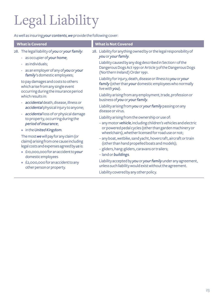## Legal Liability

As well as insuring *your contents*, *we* provide the following cover:

| <b>What is Covered</b>                                                                                                           | <b>What is Not Covered</b>                                                                                                                                                    |
|----------------------------------------------------------------------------------------------------------------------------------|-------------------------------------------------------------------------------------------------------------------------------------------------------------------------------|
| 28. The legal liability of you or your family:                                                                                   | 28. Liability for anything owned by or the legal responsibility of                                                                                                            |
| - as occupier of your home;                                                                                                      | you or your family.                                                                                                                                                           |
| - as individuals:                                                                                                                | Liability caused by any dog described in Section 1 of the                                                                                                                     |
| - as an employer of any of you or your                                                                                           | Dangerous Dogs Act 1991 or Article 3 of the Dangerous Dogs                                                                                                                    |
| family's domestic employees;                                                                                                     | (Northern Ireland) Order 1991.                                                                                                                                                |
| to pay damages and costs to others                                                                                               | Liability for injury, death, disease or illness to you or your                                                                                                                |
| which arise from any single event                                                                                                | family (other than your domestic employees who normally                                                                                                                       |
| occurring during the insurance period                                                                                            | live with you).                                                                                                                                                               |
| which results in:                                                                                                                | Liability arising from any employment, trade, profession or<br>business of you or your family.                                                                                |
| - accidental death, disease, illness or                                                                                          | Liability arising from you or your family passing on any                                                                                                                      |
| accidental physical injury to anyone;                                                                                            | disease or virus.                                                                                                                                                             |
| - accidental loss of or physical damage<br>to property, occurring during the<br>period of insurance;<br>• in the United Kingdom. | Liability arising from the ownership or use of:<br>- any motor vehicle, including children's vehicles and electric<br>or powered pedal cycles (other than garden machinery or |
| The most we will pay for any claim (or                                                                                           | wheelchairs), whether licensed for road use or not;                                                                                                                           |
| claims) arising from one cause including                                                                                         | - any boat, wetbike, sand yacht, hovercraft, aircraft or train                                                                                                                |
| legal costs and expenses agreed by us is:                                                                                        | (other than hand propelled boats and models);                                                                                                                                 |
| • £10,000,000 for an accident to your                                                                                            | - gliders, hang-gliders, caravans or trailers;                                                                                                                                |
| domestic employees                                                                                                               | - land or buildings.                                                                                                                                                          |
| • £2,000,000 for an accident to any                                                                                              | Liability accepted by you or your family under any agreement,                                                                                                                 |
| other person or property.                                                                                                        | unless such liability would exist without the agreement.                                                                                                                      |
|                                                                                                                                  | Liability covered by any other policy.                                                                                                                                        |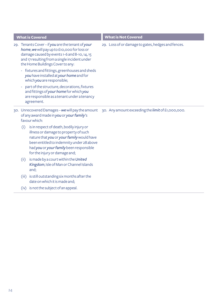|                          | <b>What is Covered</b>                                                                                                                                                                                                                                  | <b>What is Not Covered</b>                         |
|--------------------------|---------------------------------------------------------------------------------------------------------------------------------------------------------------------------------------------------------------------------------------------------------|----------------------------------------------------|
|                          | 29. Tenants Cover - if you are the tenant of your<br>home, we will pay up to £10,000 for loss or<br>damage caused by events 1-6 and 8-10, 14, 15<br>and 17 resulting from a single incident under<br>the Home Buildings Cover to any:                   | 29. Loss of or damage to gates, hedges and fences. |
|                          | - fixtures and fittings, greenhouses and sheds<br>you have installed at your home and for<br>which you are responsible;                                                                                                                                 |                                                    |
| $\overline{\phantom{a}}$ | part of the structure, decorations, fixtures<br>and fittings of your home for which you<br>are responsible as a tenant under a tenancy<br>agreement.                                                                                                    |                                                    |
|                          | 30. Unrecovered Damages - we will pay the amount<br>of any award made in you or your family's<br>favour which:                                                                                                                                          | 30. Any amount exceeding the limit of £1,000,000.  |
| (i)                      | is in respect of death, bodily injury or<br>illness or damage to property of such<br>nature that you or your family would have<br>been entitled to indemnity under 28 above<br>had you or your family been responsible<br>for the injury or damage and; |                                                    |
| (ii)                     | is made by a court within the United<br>Kingdom, Isle of Man or Channel Islands<br>and:                                                                                                                                                                 |                                                    |
| (iii)                    | is still outstanding six months after the<br>date on which it is made and;                                                                                                                                                                              |                                                    |
|                          | (iv) is not the subject of an appeal.                                                                                                                                                                                                                   |                                                    |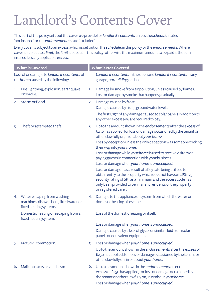## Landlord's Contents Cover

This part of the policy sets out the cover *we* provide for *landlord's contents* unless the *schedule* states 'not insured' or the *endorsements* state 'excluded'.

Every cover is subject to an *excess*, which is set out on the *schedule*, in this policy or the *endorsements*. Where cover is subject to a *limit*, the *limit* is set out in this policy: otherwise the maximum amount to be paid is the sum insured less any applicable *excess*.

|    | <b>What is Covered</b>                                                                         |    | <b>What is Not Covered</b>                                                                                                                                                                                                                                                        |
|----|------------------------------------------------------------------------------------------------|----|-----------------------------------------------------------------------------------------------------------------------------------------------------------------------------------------------------------------------------------------------------------------------------------|
|    | Loss of or damage to landlord's contents of<br>the home caused by the following:               |    | Landlord's contents in the open and landlord's contents in any<br>garage, outbuilding or shed.                                                                                                                                                                                    |
| 1. | Fire, lightning, explosion, earthquake<br>or smoke.                                            | 1. | Damage by smoke from air pollution, unless caused by flames.<br>Loss or damage by smoke that happens gradually.                                                                                                                                                                   |
| 2. | Storm or flood.                                                                                | 2. | Damage caused by frost.<br>Damage caused by rising groundwater levels.                                                                                                                                                                                                            |
|    |                                                                                                |    | The first £250 of any damage caused to solar panels in addition to<br>any other excess you are required to pay.                                                                                                                                                                   |
| 3. | Theft or attempted theft.                                                                      | 3. | Up to the amount shown in the endorsements after the excess of<br>£250 has applied, for loss or damage occasioned by the tenant or<br>others lawfully on, in or about your home.<br>Loss by deception unless the only deception was someone tricking<br>their way into your home. |
|    |                                                                                                |    | Loss or damage while your home is used to receive visitors or<br>paying guests in connection with your business.<br>Loss or damage when your home is unoccupied.                                                                                                                  |
|    |                                                                                                |    | Loss or damage if as a result of a Key safe being utilised to<br>obtain entry to the property which does not have an LPS1175<br>security rating of SR1 as a minimum and the access code has<br>only been provided to permanent residents of the property<br>or registered carer.  |
| 4. | Water escaping from washing<br>machines, dishwashers, fixed water or<br>fixed heating systems. | 4. | Damage to the appliance or system from which the water or<br>domestic heating oil escapes.                                                                                                                                                                                        |
|    | Domestic heating oil escaping from a<br>fixed heating system.                                  |    | Loss of the domestic heating oil itself.                                                                                                                                                                                                                                          |
|    |                                                                                                |    | Loss or damage when your home is unoccupied.                                                                                                                                                                                                                                      |
|    |                                                                                                |    | Damage caused by a leak of glycol or similar fluid from solar<br>panels or equivalent equipment.                                                                                                                                                                                  |
| 5. | Riot, civil commotion.                                                                         | 5. | Loss or damage when your home is unoccupied.<br>Up to the amount shown in the endorsements after the excess of<br>£250 has applied, for loss or damage occasioned by the tenant or<br>others lawfully on, in or about your home.                                                  |
| 6. | Malicious acts or vandalism.                                                                   | 6. | Up to the amount shown in the endorsements after the<br>excess of £250 has applied, for loss or damage occasioned by<br>the tenant or others lawfully on, in or about your home.<br>Loss or damage when your home is unoccupied.                                                  |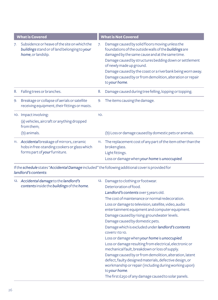|    | <b>What is Covered</b>                                                                                                                    |     | <b>What is Not Covered</b>                                                                                                                                                                                                                                                                                                                                                                                                                                                                                                                                                                                                                                                                                                                                                                                                                                |
|----|-------------------------------------------------------------------------------------------------------------------------------------------|-----|-----------------------------------------------------------------------------------------------------------------------------------------------------------------------------------------------------------------------------------------------------------------------------------------------------------------------------------------------------------------------------------------------------------------------------------------------------------------------------------------------------------------------------------------------------------------------------------------------------------------------------------------------------------------------------------------------------------------------------------------------------------------------------------------------------------------------------------------------------------|
| 7. | Subsidence or heave of the site on which the<br>buildings stand or of land belonging to your<br>home, or landslip.                        | 7.  | Damage caused by solid floors moving unless the<br>foundations of the outside walls of the buildings are<br>damaged by the same cause and at the same time.<br>Damage caused by structures bedding down or settlement<br>of newly made up ground.<br>Damage caused by the coast or a riverbank being worn away.<br>Damage caused by or from demolition, alteration or repair<br>to your home.                                                                                                                                                                                                                                                                                                                                                                                                                                                             |
| 8. | Falling trees or branches.                                                                                                                | 8.  | Damage caused during tree felling, lopping or topping.                                                                                                                                                                                                                                                                                                                                                                                                                                                                                                                                                                                                                                                                                                                                                                                                    |
| 9. | Breakage or collapse of aerials or satellite<br>receiving equipment, their fittings or masts.                                             | 9.  | The items causing the damage.                                                                                                                                                                                                                                                                                                                                                                                                                                                                                                                                                                                                                                                                                                                                                                                                                             |
|    | 10. Impact involving:<br>(a) vehicles, aircraft or anything dropped<br>from them;                                                         | 10. |                                                                                                                                                                                                                                                                                                                                                                                                                                                                                                                                                                                                                                                                                                                                                                                                                                                           |
|    | (b) animals.                                                                                                                              |     | (b) Loss or damage caused by domestic pets or animals.                                                                                                                                                                                                                                                                                                                                                                                                                                                                                                                                                                                                                                                                                                                                                                                                    |
|    | 11. Accidental breakage of mirrors, ceramic<br>hobs in free-standing cookers or glass which<br>forms part of your furniture.              | 11. | The replacement cost of any part of the item other than the<br>broken glass.<br>Light fittings.<br>Loss or damage when your home is unoccupied.                                                                                                                                                                                                                                                                                                                                                                                                                                                                                                                                                                                                                                                                                                           |
|    | If the <b>schedule</b> states " <b>Accidental Damage</b> included" the following additional cover is provided for<br>landlord's contents: |     |                                                                                                                                                                                                                                                                                                                                                                                                                                                                                                                                                                                                                                                                                                                                                                                                                                                           |
|    | 12. Accidental damage to the landlord's<br>contents inside the buildings of the home.                                                     |     | 12. Damage to clothing or footwear.<br>Deterioration of food.<br>Landlord's contents over 5 years old.<br>The cost of maintenance or normal redecoration.<br>Loss or damage to television, satellite, video, audio<br>entertainment equipment and computer equipment.<br>Damage caused by rising groundwater levels.<br>Damage caused by domestic pets.<br>Damage which is excluded under <i>landlord's</i> contents<br>covers1to10.<br>Loss or damage when your home is unoccupied.<br>Loss or damage resulting from electrical, electronic or<br>mechanical fault, breakdown or loss of supply.<br>Damage caused by or from demolition, alteration, latent<br>defect, faulty designed materials, defective design, or<br>workmanship or repair (including during working upon)<br>to your home.<br>The first £250 of any damage caused to solar panels. |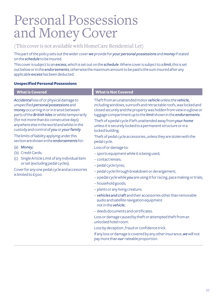## Personal Possessions and Money Cover

#### (This cover is not available with HomeCare Residential Let)

This part of the policy sets out the wider cover *we* provide for *yourpersonal possessions* and *money* if stated on the *schedule* to be insured.

This cover is subject to an *excess*, which is set out on the *schedule*. Where cover is subject to a *limit*, this is set out below or in the *endorsements*, otherwise the maximum amount to be paid is the sum insured after any applicable *excess* has been deducted.

#### **Unspecified Personal Possessions**

| <b>What is Covered</b>                                                                                                                                                                                                                                                                                                                                                                                                                                                                                                                                                                                                      | <b>What is Not Covered</b>                                                                                                                                                                                                                                                                                                                                                                                                                                                                                                                                                                                                                                                                                                                                                                                                                                                                                                                                                                                                                                                                                                                                                                                                                                            |
|-----------------------------------------------------------------------------------------------------------------------------------------------------------------------------------------------------------------------------------------------------------------------------------------------------------------------------------------------------------------------------------------------------------------------------------------------------------------------------------------------------------------------------------------------------------------------------------------------------------------------------|-----------------------------------------------------------------------------------------------------------------------------------------------------------------------------------------------------------------------------------------------------------------------------------------------------------------------------------------------------------------------------------------------------------------------------------------------------------------------------------------------------------------------------------------------------------------------------------------------------------------------------------------------------------------------------------------------------------------------------------------------------------------------------------------------------------------------------------------------------------------------------------------------------------------------------------------------------------------------------------------------------------------------------------------------------------------------------------------------------------------------------------------------------------------------------------------------------------------------------------------------------------------------|
| Accidental loss of or physical damage to<br>unspecified personal possessions and<br>money occurring in or in transit between<br>parts of the British Isles or whilst temporarily<br>(for not more than 60 consecutive days)<br>anywhere else in the world and whilst in the<br>custody and control of you or your family.<br>The limits of liability applying under this<br>section are shown in the endorsements for:<br>(a) Money;<br>(b) Credit Cards;<br>Single Article Limit of any individual item<br>(c)<br>or set (excluding pedal cycles).<br>Cover for any one pedal cycle and accessories<br>is limited to £500. | Theft from an unattended motor vehicle unless the vehicle,<br>including windows, sunroofs and retractable roofs, was locked and<br>closed securely and the property was hidden from view in a glove or<br>luggage compartment up to the limit shown in the endorsements.<br>Theft of a pedal cycle if left unattended away from your home<br>unless it is securely locked to a permanent structure or in a<br>locked building.<br>Theft of pedal cycle accessories, unless they are stolen with the<br>pedal cycle.<br>Loss of or damage to:<br>- sports equipment while it is being used;<br>- contact lenses:<br>- pedal cycle tyres;<br>- pedal cycle through breakdown or derangement;<br>- a pedal cycle while you are using it for racing, pace making or trials;<br>- household goods;<br>- plants or any living creature;<br>- vehicles and craft and their accessories other than removable<br>audio and satellite navigation equipment<br>not in the vehicle;<br>- deeds documents and certificates.<br>Loss or damage caused by theft or attempted theft from an<br>unlocked hotel room<br>Loss by deception, fraud or confidence trick.<br>If any loss or damage is covered by any other insurance, we will not<br>pay more than our rateable proportion. |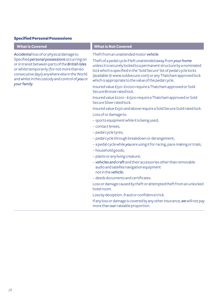#### **Specified Personal Possessions**

| <b>What is Not Covered</b>                                                                                                                                                                                                                                                                                                                                                                                                                                                                                                                                                                                                                                                                                                                                                                                                                                                                                                                                                                                                                                                                                                                                                                                                                                                                                                                                                                                    |
|---------------------------------------------------------------------------------------------------------------------------------------------------------------------------------------------------------------------------------------------------------------------------------------------------------------------------------------------------------------------------------------------------------------------------------------------------------------------------------------------------------------------------------------------------------------------------------------------------------------------------------------------------------------------------------------------------------------------------------------------------------------------------------------------------------------------------------------------------------------------------------------------------------------------------------------------------------------------------------------------------------------------------------------------------------------------------------------------------------------------------------------------------------------------------------------------------------------------------------------------------------------------------------------------------------------------------------------------------------------------------------------------------------------|
| Theft from an unattended motor vehicle.<br>Theft of a pedal cycle if left unattended away from your home<br>unless it is securely locked to a permanent structure by a nominated<br>lock which is specified in the 'Sold Secure' list of pedal cycle locks<br>(available @ www.soldsecure.com) or any Thatcham approved lock<br>which is appropriate to the value of the pedal cycle.<br>Insured value £501-£1000 require a Thatcham approved or Sold<br>Secure Bronze rated lock.<br>Insured value £1001 - £1500 require a Thatcham approved or Sold<br>Secure Silver rated lock.<br>Insured value £1501 and above require a Sold Secure Gold rated lock.<br>Loss of or damage to:<br>- sports equipment while it is being used;<br>- contact lenses;<br>- pedal cycle tyres;<br>- pedal cycle through breakdown or derangement;<br>- a pedal cycle while you are using it for racing, pace making or trials;<br>- household goods;<br>- plants or any living creature;<br>- vehicles and craft and their accessories other than removable<br>audio and satellite navigation equipment<br>not in the vehicle:<br>- deeds documents and certificates.<br>Loss or damage caused by theft or attempted theft from an unlocked<br>hotel room.<br>Loss by deception, fraud or confidence trick.<br>If any loss or damage is covered by any other insurance, we will not pay<br>more than our rateable proportion. |
|                                                                                                                                                                                                                                                                                                                                                                                                                                                                                                                                                                                                                                                                                                                                                                                                                                                                                                                                                                                                                                                                                                                                                                                                                                                                                                                                                                                                               |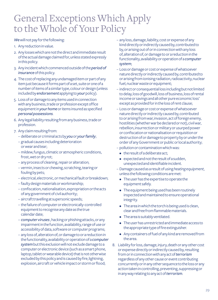### General Exceptions Which Apply to the Whole of Your Policy

#### *We* will not pay for the following:

- 1. Any reduction in value.
- 2. Any losses which are not the direct and immediate result of the actual damage claimed for, unless stated expressly in this policy.
- 3. Any incident which commenced outside of the *period of insurance* of this policy.
- 4. The cost of replacing any undamaged item or part of any item just because it forms part of a set, suite or one of a number of items of a similar type, colour or design (unless included by *endorsement* applying to *your* policy).
- 5. Loss of or damage to any items used in connection with any business, trade or profession except office equipment in *yourhome* or items insured as specified *personal possessions*.
- 6. Any legal liability resulting from any business, trade or profession.
- 7. Any claim resulting from:
	- deliberate or criminal acts by *you* or *yourfamily*;
	- gradual causes including deterioration or wear and tear;
	- mildew, fungus, climatic or atmospheric conditions, frost, wet or dry rot;
	- any process of cleaning, repair or alteration;
	- vermin, insects or chewing, scratching, tearing or fouling by pets;
	- electrical, electronic, or mechanical fault or breakdown;
	- faulty design materials or workmanship;
	- confiscation, nationalisation, expropriation or the acts of any government of civil authority;
	- aircraft travelling at supersonic speeds;
	- the failure of computer or electronically-controlled equipment to recognise any date as the true calendar date;
	- *computer viruses* , hacking or phishing attacks, or any impairment in the function, availability, range of use or accessibility of data, software or computer programs;
	- any loss of, alteration of, or damage to or a reduction in the functionality, availability or operation of a *computer system* but this exclusion will not exclude damage to a computer or electronic device (such as a smart phone, laptop, tablet or wearable device) that is not otherwise excluded by this policy and is caused by fire, lightning, explosion, aircraft or vehicle impact or storm or flood;
- any loss, damage, liability, cost or expense of any kind directly or indirectly caused by, contributed to by, or arising out of or in connection with any loss of, alteration of, or damage to or a reduction in the functionality, availability or operation of a *computer system*;
- Loss or damage or cost or expense of whatsoever nature directly or indirectly caused by, contributed to or arising from ionising radiation, radioactivity, nuclear fuel, nuclear waste or equipment;
- indirect or consequential loss including but not limited to delay, loss of goodwill, loss of business, loss of rental income or savings and all other pure economic loss' except as provided for in the loss of rent clause;
- Loss or damage or cost or expense of whatsoever nature directly or indirectly caused by, contributed to or arising from war, invasion, act of foreign enemy, hostilities (whether war be declared or not), civil war, rebellion, insurrection or military or usurped power or confiscation or nationalisation or requisition or destruction of or damage to property by or under the order of any Government or public or local authority;
- pollution or contamination which was:
	- the result of a deliberate act:
	- expected and not the result of a sudden, unexpected and identifiable incident.
- Damage caused as a result of using *heating equipment*, unless the following conditions are met:
	- The user has the expertise to operate the equipment safely.
	- The equipment being used has been routinely inspected and maintained to ensure operational integrity.
	- The area in which the torch is being used is clean, clear and free from flammable materials.
	- The area is suitably ventilated.
	- The user has unrestricted and immediate access to the appropriate type of fire extinguisher.
	- Any containers of fuel of any kind are removed from the area.
- 8. Liability for loss, damage, injury, death or any other cost or expense directly or indirectly caused by, resulting from or inconnection with any act of *terrorism* regardless of any other cause or event contributing concurrently or in any other sequence to the loss or any action taken in controlling, preventing, suppressing or in any way relating to any act of *terrorism*.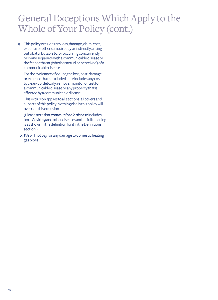### General Exceptions Which Apply to the Whole of Your Policy (cont.)

9. This policy excludes any loss, damage, claim, cost, expense or other sum, directly or indirectly arising out of, attributable to, or occurring concurrently or in any sequence with a communicable disease or the fear or threat (whether actual or perceived) of a communicable disease.

For the avoidance of doubt, the loss, cost, damage or expense that is excluded here includes any cost to clean-up, detoxify, remove, monitor or test for a communicable disease or any property that is affected by a communicable disease.

This exclusion applies to all sections, all covers and all parts of this policy. Nothing else in this policy will override this exclusion.

(Please note that *communicable disease* includes both Covid-19 and other diseases and its full meaning is as shown in the definition for it in the Definitions section.)

10. *We* will not pay for any damage to domestic heating gas pipes.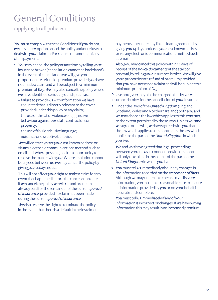### General Conditions

(applying to all policies)

*You* must comply with these Conditions: if *you* do not, *we* may at *our* option cancel the policy and/or refuse to deal with *your* claim and/or reduce the amount of any claim payment.

- 1. *You* may cancel the policy at any time by telling *your* insurance broker (cancellation cannot be backdated). In the event of cancellation *we* will give *you* a proportionate refund of premium provided *you* have not made a claim and will be subject to a minimum premium of £25. *We* may also cancel the policy where *we* have identified serious grounds, such as;
	- failure to provide *us* with information *we* have requested that is directly relevant to the cover provided under this policy or any claim;
	- the use or threat of violence or aggressive behaviour against *our* staff, contractors or property;
	- the use of foul or abusive language;
	- nuisance or disruptive behaviour.

*We* will contact *you* at *your* last known address or via any electronic communications method such as email and, where possible, seek an opportunity to resolve the matter with *you*. Where a solution cannot be agreed between *us*, *we* may cancel the policy by giving *you* 14 days notice.

This will not affect *your* right to make a claim for any event that happened before the cancellation date. If *we* cancel the policy *we* will refund premiums already paid for the remainder of the current *period of insurance*, provided no claim has been made during the current *period of insurance*.

*We* also reserve the right to terminate the policy in the event that there is a default in the instalment payments due under any linked loan agreement, by giving *you* 14 days notice at *your* last known address or via any electronic communications method such as email.

Also, *you* may cancel this policy within 14 days of receipt of the *policy documents* at the start or renewal, by telling *your* insurance broker. *We* will give *you* a proportionate refund of premium provided that *you* have not made a claim and will be subject to a minimum premium of £25.

Please note, *you* may also be charged a fee by *your* insurance broker for the cancellation of *your* insurance.

2. Under the laws of the *United Kingdom* (England, Scotland, Wales and Northern Ireland) both *you* and *we* may choose the law which applies to this contract, to the extent permitted by those laws. Unless *you* and *we* agree otherwise, *we* have agreed with *you* that the law which applies to this contract is the law which applies to the part of the *United Kingdom* in which *you* live.

*We* and *you* have agreed that legal proceedings between *you* and *us* in connection with this contract will only take place in the courts of the part of the *United Kingdom* in which *you* live.

3. *You* must tell *us* immediately about any changes in the information recorded on the *statement of facts*. Although *we* may undertake checks to verify *your*  information, *you* must take reasonable care to ensure all information provided by *you* or on *your* behalf is accurate and complete.

*You* must tell *us* immediately if any of *your* information is incorrect or changes. If *we* have wrong information this may result in an increased premium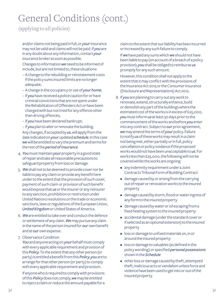### General Conditions (cont.)

(applying to all policies)

and/or claims not being paid in full, or *your* insurance may not be valid and claims will not be paid. If *you* are in any doubt about any information, contact *your* insurance broker as soon as possible.

Changes to information *we* need to be informed of include, but are not limited to, these situations:

- A change to the rebuilding or reinstatement costs if the policy sums insured limits are no longer adequate;
- A change in the occupancy or use of *your home*;
- If *you* have received a police caution for or have criminal convictions that are not spent under the Rehabilitation of Offenders Act or have been charged with but not tried for any offence other than driving offences;
- If *you* have been declared bankrupt;
- If *you* plan to alter or renovate the building. Any changes, if accepted by *us*, will apply from the date indicated on *your* updated *schedule*. In this case *we* will be entitled to vary the premium and terms for the rest of the *period of insurance*.
- 4. *You* must maintain *your* property in a good state of repair and take all reasonable precautions to safeguard property from loss or damage.
- 5. *We* shall not to be deemed to provide cover nor be liable to pay any claim or provide any benefit here under to the extent that the provision of such cover, payment of such claim or provision of such benefit would expose that *us* or the Insurer or any reinsurer to any sanction, prohibition or restriction under United Nations resolutions or the trade or economic sanctions, laws or regulations of the European Union, *United Kingdom* or United States of America.
- 6. *We* are entitled to take over and conduct the defence or settlement of any claim. *We* may pursue any claim in the name ofthe person insured for *our* own benefit and at *our* own expense.

7. Observance Condition *You* and anyone acting on *your* behalf must comply with every applicable requirement and provision of this *Policy*. To the extent that any other person (or party) is entitled a benefit from this *Policy*, *you* are to arrange for that other person (or party) to comply with every applicable requirement and provision.

If anyone who is required to comply with provisions of this *Policy* does not comply, *we* may be entitled to reject a claim or reduce the amount payable for a claim to the extent that our liability has been incurred or increased by any such failure to comply.

If *we* have paid any sums which *we* should not have been liable to pay (on account of a breach of a policy provision), *you* shall be obliged to reimburse *us* promptly for any such amount.

However, this condition shall not apply to the extent that it may conflict with the provisions of the Insurance Act 2015 or the Consumer Insurance (Disclosure and Representations) Act 2012.

- 8. If *you* are planning to carry out any work to renovate, extend, structurally enhance, build or demolish any part of the buildings where the estimated cost of the works is in excess of £25,000, *you* must inform *us* at least 30 days prior to the commencement of the works and before *you* enter into any contract. Subject to *our* prior agreement, *we* may amend the terms of *your* policy. Failure to notify *us* of these works may result in a claim not being met, either partially or in full, policy cancellation or policy voidance if the proposed works would not have been unacceptable to *us*. For works less than £25,000, the following will not be covered whilst the works are ongoing:
	- any indemnity requirement under a Joint Contracts Tribunal Form of Building Contract
	- damage caused by or arising from the carrying out of repair or renovation works to the insured property
	- damage caused by storm, flood or water ingress of any form to the insured property
	- damage caused by water or oil escaping from a fixed heating system to the insured property
	- accidental damage (under the standard cover or if selected as an optional extension) to the insured property
	- loss or damage to unfixed materials on, in or around the insured property
	- loss or damage to valuables (as defined in the policy wording) or specified *personal possessions*  shown in the *Schedule*
	- other loss or damage caused by theft, attempted theft, malicious acts or vandalism unless force and violence have been used to get into or out of the insured property.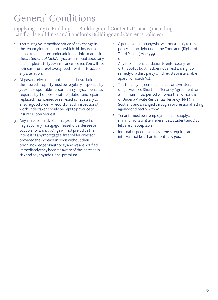## General Conditions

#### (applying only to Buildings or Buildings and Contents Policies (including Landlords Buildings and Landlords Buildings and Contents policies)

- 1. *You* must give immediate notice of any change in the tenancy information on which this insurance is based (this is stated under additional information in the *statement of facts*). If *you* are in doubt about any change please tell *your* insurance broker. *You* will not be insured until *we* have agreed in writing to accept any alteration.
- 2. All gas and electrical appliances and installations at the insured property must be regularly inspected by *you* or a responsible person acting on *your* behalf as required by the appropriate legislation and repaired, replaced , maintained or serviced as necessary to ensure good order. A record or such inspections/ work undertaken should be kept to produce to insurers upon request.
- 3. Any increase in risk of damage due to any act or neglect of any mortgagor, leaseholder, lessee or occupier or any *buildings* will not prejudice the interest of any mortgagee, freeholder or lessor provided the increase in risk is without their prior knowledge or authority and *we* are notified immediately they become aware of the increase in risk and pay any additional premium.

4. A person or company who was not a party to this policy has no right under the Contracts (Rights of Third Parties) Act 1999. or

Any subsequent legislation to enforce any terms of this policy but this does not affect any right or remedy of a third party which exists or is available apart from such Act.

- 5. The tenancy agreement must be on a written, single, Assured Shorthold Tenancy Agreement for a minimum initial period of no less than 6 months or Under a Private Residential Tenancy (PRT) in Scotland and arranged through a professional letting agency or directly with *you*.
- 6. Tenants must be in employment and supply a minimum of 2 written references. Student and DSS lets are unacceptable.
- 7. Internal inspection of the *home* is required at intervals not less than 6 months by *you*.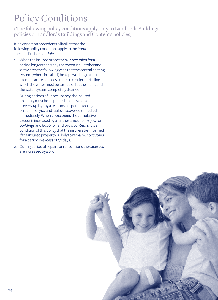## Policy Conditions

(The following policy conditions apply only to Landlords Buildings policies or Landlords Buildings and Contents policies)

It is a condition precedent to liability that the following policy conditions apply to the *home*  specified in the *schedule*:

1. When the insured property is *unoccupied* for a period longer than 7 days between 1st October and 31st March the following year, that the central heating system (where installed) be kept working to maintain a temperature of no less that 10˚ centigrade failing which the water must be turned off at the mains and the water system completely drained.

During periods of unoccupancy, the insured property must be inspected not less than once in every 14 days by a responsible person acting on behalf of *you* and faults discovered remedied immediately. When *unoccupied* the cumulative *excess* is increased by a further amount of £500 for *buildings* and £500 for landlord's *contents*. It is a condition of this policy that the insurers be informed if the insured property is likely to remain *unoccupied* for a period in *excess* of 30 days.

2. During period of repairs or renovations the *excesses* are increased by £250.

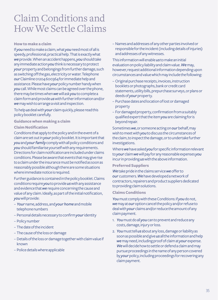### Claim Conditions and How We Settle Claims

#### **How to make a claim**

If *you* need to make a claim, what *you* need most of all is speedy, professional, practical help. That is exactly what *we* provide. When an accident happens, *you* should take any immediate action *you* think is necessary to protect *your* property and belongings from further damage, such as switching off the gas, electricity or water. Telephone *our* Claimline 01204 600364 for immediate help and assistance. Please have *your* policy number handy when *you* call. While most claims can be agreed over the phone, there may be times when *we* will ask *you* to complete a claim form and provide *us* with further information and/or *we* may wish to arrange a visit and inspection.

To help *us* deal with *your* claim quickly, please read this policy booklet carefully.

**Guidance when making a claim**

#### **Claim Notification**

Conditions that apply to the policy and in the event of a claim are set out in *your* policy booklet. It is important that *you* and *your family* comply with all policy conditions and *you* should familiarise yourself with any requirements. Directions for claim notification are included under claims conditions. Please be aware that events that may give rise to a claim under the insurance must be notified as soon as reasonably possible although there are some situations where immediate notice is required.

Further guidance is contained in the policy booklet. Claims conditions require *you* to provide *us* with any assistance and evidence that *we* require concerning the cause and value of any claim. Ideally, as part of the initial notification, *you* will provide:

- *Your* name, address, and *your home* and mobile telephone numbers
- Personal details necessary to confirm *your* identity
- Policy number
- The date of the incident
- The cause of the loss or damage
- Details of the loss or damage together with claim value if known
- Police details where applicable

– Names and addresses of any other parties involved or responsible for the incident (including details of injuries) and addresses of any witnesses.

This information will enable *us* to make an initial evaluation on policy liability and claim value. *We* may, however, request additional information depending upon circumstances and value which may include the following:

- Original purchase receipts, invoices, instruction booklets or photographs, bank or credit card statements, utility bills, prepurchase surveys, or plans or deeds of *your* property.
- Purchase dates and location of lost or damaged property
- For damaged property, confirmation from a suitably qualified expert that the item *you* are claiming for is beyond repair.

Sometimes *we*, or someone acting on *our* behalf, may wish to meet with *you* to discuss the circumstances of the claim, to inspect the damage, or to undertake further investigations.

Where *we* have asked *you* for specific information relevant to *your* claim *we* will pay for any reasonable expenses *you*  incur in providing *us* with the above information.

#### **Preferred Suppliers**

*We* take pride in the claims service *we* offer to *our* customers. *We* have developed a network of contractors, repairers and product suppliers dedicated to providing claim solutions.

#### **Claims Conditions**

*You* must comply with these Conditions: if *you* do not, *we* may at *our* option cancel the policy and/or refuse to deal with *your* claims and/or reduce the amount of any claim payment.

- 1. *You* must do all *you* can to prevent and reduce any costs, damage, injury or loss.
- 2. *You* must tell *us* about any loss, damage or liability as soon as possible and give *us* all the information and help *we* may need, including proof of claim at *your* expense. *We* will decide how to settle or defend a claim and may pursue proceedings in the name of any person covered by *your* policy, including proceedings for recovering any claim payment.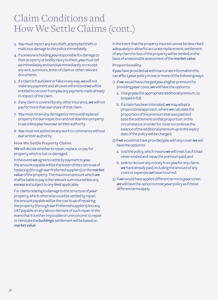### Claim Conditions and How We Settle Claims (cont.)

- 3. *You* must report any loss, theft, attempted theft or malicious damage to the police immediately.
- 4. If someone is holding *you* responsible for damage to their property or bodily injury to them, *you* must tell *us* immediately and send *us* immediately on receipt any writ, summons, letter of claim or other relevant documents.
- 5. If a claim is fraudulent or false in any way, *we* will not make any payment and all cover will end and *we* will be entitled to recover from *you* any payment made already in respect of the claim.
- 6. If any claim is covered by any other insurance, *we* will not pay for more than *our* share of that claim.
- 7. *You* must retain any damaged or removed/replaced property for *our* inspection and not abandon property to *us* unless *you* have *our* written authority.
- 8. *You* must not authorise any work to commence without *our* written authority.

### **How We Settle Property Claims**

*We* will decide whether to repair, replace, or pay for property which is lost or damaged.

In the event *we* agree to settle by payment to *you*: the amount payable will be the lesser of the cost to *us* of replacing (through *our* Preferred suppliers) or the *market value* of the property. The maximum amount which *we* shall be liable to pay is the relevant sum insured less any *excess* and subject to any *limit* applicable.

For claims relating to damage to the structure of *your* property, which otherwise could be settled by repair, the amount payable will be the cost to *us* of repairing the property (through *our* Preferred suppliers) less any VAT payable on any labour element of such repair. In the event that it is either impossible or uneconomic to repair or reinstate the *buildings*, settlement will be based on *market value*.

In the event that the property insured cannot be described adequately to allow for accurate replacement, settlement of any claim for loss of the property will be settled on the basis of a reasonable assessment of the *market value*.

#### **Proportionality**

If *you* have provided *us* with inaccurate information this can affect *your* policy in one or more of the following ways:

- 1) If *we* would have charged *you* a higher premium for providing *your* cover, *we* will have the option to:
	- a. charge *you* the appropriate additional premium, to be paid in full;
	- b. If a claim has been intimated, *we* may adopt a proportional approach, where *we* calculate the proportion of the premium that was paid and base the settlement on that proportion. In this circumstance, in order for cover to continue the balance of the additional premium up to the expiry date of the policy will be charged.
- 2) If *we* would not have provided *you* with any cover *we* will have the option to:
	- a. void the policy, which means *we* will treat it as if it had never existed and repay the premium paid; and
	- b. seek to recover any money from *you* for any claims *we* have already paid, including the amount of any costs or expenses *we* have incurred.
- 3) If *we* would have applied different terms to *your* cover, *we* will have the option to treat *your* policy as if those different terms apply.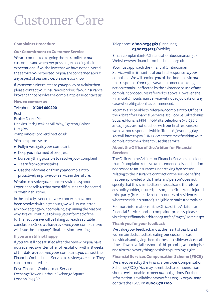## Customer Care

#### **Complaints Procedure**

**Our Commitment to Customer Service** *We* are committed to going the extra mile for *our* customers and wherever possible, exceeding their expectations. If *you* believe that *we* have not delivered

the service *you* expected, or *you* are concerned about any aspect of *our* service, please let *us* know. If *your* complaint relates to *your* policy or a claim then

please contact *your* insurance broker. If *your* insurance broker cannot resolve the complaint please contact *us*.

**How to contact us**

Telephone: **01204 600200** Post: Broker Direct Plc Deakins Park, Deakins Mill Way, Egerton, Bolton BL7 9RW compliance@brokerdirect.co.uk

*We* then promise to:

- Fully investigate *your* complaint
- Keep *you* informed of progress
- Do everything possible to resolve *your* complaint
- Learn from *our* mistakes
- Use the information from *your* complaint to proactively improve *our* service in the future.

*We* aim to resolve *your* concerns within 24 hours. Experience tells *us* that most difficulties can be sorted out within this time.

In the unlikely event that *your* concerns have not been resolved within 72 hours, *we* will issue a letter acknowledging *your* complaint, explaining the reasons why. *We* will continue to keep *you* informed of the further actions *we* will be taking to reach a suitable conclusion. Once *we* have reviewed *your* complaint *we* will issue the company's final decision in writing.

#### **If you are still not happy**

If *you* are still not satisfied after the review, or *you* have not received a written offer of resolution within 8 weeks of the date *we* received *your* complaint, *you* can ask the Financial Ombudsman Service to review *your* case. They can be contacted at:

Post: Financial Ombudsman Service Exchange Tower, Harbour Exchange Square London E14 9SR

#### Telephone: **0800 0234567** (Landlines) **03001239123** (Mobile)

Email: complaint.info@financial-ombudsman.org.uk Website: www.financial-ombudsman.org.uk

*You* must approach the Financial Ombudsman Service within 6 months of *our* final response to *your* complaint. *We* will remind *you* of the time limits in *our* final response. *Your* rights as a customer to take legal action remain unaffected by the existence or use of any complaint procedures referred to above. However, the Financial Ombudsman Service will not adjudicate on any case where litigation has commenced.

*You* may also be able to refer *your* complaint to: Office of the Arbiter for Financial Services, 1st Floor St Calcedonius Square, Floriana FRN 1530 Malta, telephone (+356) 212 49245 if *you* are not satisfied with *our* final response or *we* have not responded within fifteen (15) working days. *You* will have to pay EUR 25.00 at the time of making *your*  complaint to the Arbiter to use this service.

#### **About the Office of the Arbiter for Financial Services**

The Office of the Arbiter for Financial Services considers that a 'complaint' refers to a statement of dissatisfaction addressed to an insurance undertaking by a person relating to the insurance contract or the service he/she has been provided with. The terms 'person' does not specify that this is limited to individuals and therefore any policyholder, insured person, beneficiary and injured third party (irrespective of the country of residence or where the risk in situated) is eligible to make a complaint.

For more information on the Office of the Arbiter for Financial Services and its complaints process, please visit: https://financialarbiter.org.mt/en/Pages/Home.aspx

#### **Thank you for your feedback**

*We* value *your* feedback and at the heart of *our* brand *we* remain dedicated to treating *our* customers as individuals and giving them the best possible service at all times. If *we* have fallen short of this promise, *we* apologise and aim to do everything possible to put things right.

**Financial Services Compensation Scheme (FSCS)** *We* are covered by the Financial Services Compensation Scheme (FSCS). *You* may be entitled to compensation should *we* be unable to meet *our* obligations. Further information is available on www.fscs.org.uk or *you* may contact the FSCS on **0800 678 1100***.*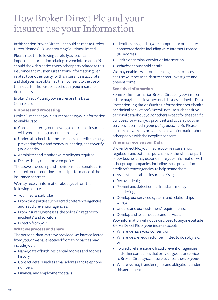### How Broker Direct Plc and your insurer use your Information

In this section Broker Direct Plc should be read as Broker Direct Plc and CPD Underwriting Solutions Limited.

Please read the following carefully as it contains important information relating to *your* information. *You*  should show this notice to any other party related to this insurance and must ensure that any information given related to another party for this insurance is accurate and that *you* have obtained their consent to the use of their data for the purposes set out in *your* insurance documents.

Broker Direct Plc and *your* insurer are the Data **Controllers** 

**Purposes and Processing**

Broker Direct and *your* insurer process *your* information to enable *us* to:

- Consider entering or renewing a contract of insurance with *you* including customer profiling
- Undertake checks for the purposes of credit checking, preventing fraud and money laundering, and to verify *your* identity
- Administer and monitor *your* policy as required
- Deal with any claims on *your* policy

The above processing and provision of personal data is required for the entering into and performance of the insurance contract.

*We* may receive information about *you* from the following sources:

- *Your* insurance broker
- From third parties such as credit reference agencies and fraud prevention agencies.
- From insurers, witnesses, the police (in regards to incidents) and solicitors.
- Directly from *you*.

#### **What we process and share**

The personal data *you* have provided, *we* have collected from *you*, or *we* have received from third parties may include *your*:

- Name, date of birth, residential address and address history
- Contact details such as email address and telephone numbers
- Financial and employment details
- Identifies assigned to *your* computer or other internet connected device including *your* Internet Protocol (IP) address
- Health or criminal conviction information
- *Vehicle* or household details.

*We* may enable law enforcement agencies to access and use *your* personal data to detect, investigate and prevent crime.

#### **Sensitive Information**

Some of the information Broker Direct or *your* insurer ask for may be sensitive personal data, as defined in Data Protection Legislation (such as information about health or criminal convictions). *We* will not use such sensitive personal data about y*ou* or others except for the specific purposes for which *you* provide it and to carry out the services described in *yourpolicy documents*. Please ensure that *you* only provide sensitive information about other people with their explicit consent.

#### **Who may receive your Data**

Broker Direct Plc, *your* insurer, *our* reinsurers, o*ur*  regulators and potential purchases of the whole or part of *our* business may use and share *your* information with other group companies, including fraud prevention and credit reference agencies, to help *us* and them:

- Assess financial and insurance risks;
- Recover debit:
- Prevent and detect crime, fraud and money laundering;
- Develop *our* services, systems and relationships with *you*;
- Understand *our* customers' requirements;
- Develop and test products and services.

*Your* information will not be disclosed to anyone outside Broker Direct Plc or *your* insurer except:

- Where *we* have *your* consent; or
- Where *we* are required or permitted to do so by law; or
- To credit reference and fraud prevention agencies and other companies that provide goods or services to Broker Direct, *your* insurer, *our* partners or *you*; or
- Where *we* may transfer rights and obligations under this agreement.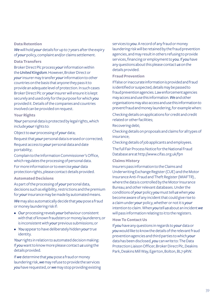#### **Data Retention**

*We* will hold *your* details for up to 7 years after the expiry of *your* policy, complaint and/or claims settlement.

#### **Data Transfers**

Broker Direct Plc process *your* information within the *United Kingdom*. However, Broker Direct or *your* insurer may transfer *your* information to other countries on the basis that anyone they pass it to provide an adequate level of protection. In such cases Broker Direct Plc or *your* insurer will ensure it is kept securely and used only for the purpose for which *you* provided it. Details of the companies and countries involved can be provided on request.

#### **Your Rights**

Your personal data is protected by legal rights, which include *your* rights to:

Object to *our* processing of *your* data;

Request that *your* personal data is erased or corrected; Request access to *your* personal data and date portability;

Complain to the Information Commissioner's Office, which regulates the processing of personal data. For more information or to exercise *your* data

protection rights, please contact details provided.

#### **Automated Decisions**

As part of the processing of *your* personal data, decisions such as eligibility, restrictions and the premium for *your* insurance may be made by automated means.

*We* may also automatically decide that *you* pose a fraud or money laundering risk if:

- *Our* processing reveals *your* behaviour consistent with that of known fraudsters or money launderers; or is inconsistent with *your* previous submissions; or
- *You* appear to have deliberately hidden *your* true identity.

*Your* rights in relation to automated decision making: If *you* want to know more please contact *us* using the details provided.

If *we* determine that *you* pose a fraud or money laundering risk, *we* may refuse to provide the services *you* have requested, or *we* may stop providing existing services to *you*. A record of any fraud or money laundering risk will be retained by the fraud prevention agencies, and may result in others refusing to provide services, financing or employment to *you*. If *you* have any questions about this please contact *us* on the details provided.

#### **Fraud Prevention**

If false or inaccurate information is provided and fraud is identified or suspected, details may be passed to fraud prevention agencies. Law enforcement agencies may access and use this information. *We* and other organisations may also access and use this information to prevent fraud and money laundering, for example when:

Checking details on applications for credit and credit related or other facilities;

#### Recovering debt;

Checking details on proposals and claims for all types of insurance;

Checking details of job applicants and employees.

The full Fair Process Notice for the National Fraud Database are at http://www.cifas.org.uk/fpn

#### **Claims History**

Insurers pass information to the Claims and Underwriting Exchange Register (CUE) and the Motor Insurance Anti-Fraud and Theft Register (MIAFTR) , where the data is controlled by the Motor Insurance Bureau; and other relevant databases. Under the conditions of *your* policy *you* must tell *us* when *you*  become aware of any incident that could give rise to a claim under *your* policy, whether or not it is *your* intention to claim. When *you* tell *us* about an incident *we* will pass information relating to it to the registers.

#### **How To Contact Us**

If *you* have any questions in regards to *your* data or *you* would like to know the details of the relevant fraud prevention agencies and third parties to which *your* data has been disclosed, *you* can write to: The Data Protection Liaison Officer, Broker Direct Plc, Deakins Park, Deakins Mill Way, Egerton, Bolton, BL7 9RW.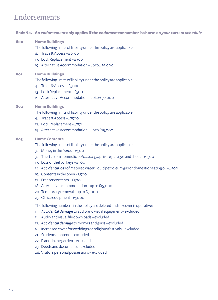### Endorsements

| <b>Endt No.</b> | An endorsement only applies if the endorsement number is shown on your current schedule                                                                                                                                                                                                                                                                                                                                                                                                                                                                                                                                                                                                                                                                                                                                                                                                                                                                                                                                                  |
|-----------------|------------------------------------------------------------------------------------------------------------------------------------------------------------------------------------------------------------------------------------------------------------------------------------------------------------------------------------------------------------------------------------------------------------------------------------------------------------------------------------------------------------------------------------------------------------------------------------------------------------------------------------------------------------------------------------------------------------------------------------------------------------------------------------------------------------------------------------------------------------------------------------------------------------------------------------------------------------------------------------------------------------------------------------------|
| 800             | <b>Home Buildings</b><br>The following limits of liability under the policy are applicable:<br>4. Trace & Access-£2500<br>13. Lock Replacement - £300<br>19. Alternative Accommodation - up to £25,000                                                                                                                                                                                                                                                                                                                                                                                                                                                                                                                                                                                                                                                                                                                                                                                                                                   |
| 801             | <b>Home Buildings</b><br>The following limits of liability under the policy are applicable:<br>4. Trace & Access-£5000<br>13. Lock Replacement - £500<br>19. Alternative Accommodation - up to £50,000                                                                                                                                                                                                                                                                                                                                                                                                                                                                                                                                                                                                                                                                                                                                                                                                                                   |
| 802             | <b>Home Buildings</b><br>The following limits of liability under the policy are applicable:<br>4. Trace & Access - £7500<br>13. Lock Replacement - £750<br>19. Alternative Accommodation - up to £75,000                                                                                                                                                                                                                                                                                                                                                                                                                                                                                                                                                                                                                                                                                                                                                                                                                                 |
| 803             | <b>Home Contents</b><br>The following limits of liability under the policy are applicable:<br>Money in the home - £500<br>3.<br>Thefts from domestic outbuildings, private garages and sheds - £1500<br>3.<br>13. Loss or theft of keys - £500<br>14. Accidental loss of metered water, liquid petroleum gas or domestic heating oil - £500<br>15. Contents in the open - £500<br>17. Freezer contents - £500<br>18. Alternative accommodation - up to £15,000<br>20. Temporary removal - up to £5,000<br>25. Office equipment - £5000<br>The following numbers in the policy are deleted and no cover is operative:<br>11. Accidental damage to audio and visual equipment - excluded<br>11. Audio and visual file downloads - excluded<br>12. Accidental damage to mirrors and glass - excluded<br>16. Increased cover for weddings or religious festivals - excluded<br>21. Students contents - excluded<br>22. Plants in the garden - excluded<br>23. Deeds and documents - excluded<br>24. Visitors personal possessions - excluded |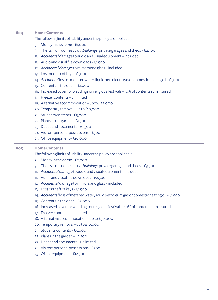| 804 | <b>Home Contents</b><br>The following limits of liability under the policy are applicable:<br>Money in the home - £1,000<br>3.<br>Thefts from domestic outbuildings, private garages and sheds - £2,500<br>3.<br>11. Accidental damage to audio and visual equipment - included<br>11. Audio and visual file downloads - £1,500<br>12. Accidental damage to mirrors and glass-included<br>13. Loss or theft of keys - £1,000<br>14. Accidental loss of metered water, liquid petroleum gas or domestic heating oil - £1,000<br>15. Contents in the open - £1,000<br>16. Increased cover for weddings or religious festivals - 10% of contents sum insured<br>17. Freezer contents - unlimited<br>18. Alternative accommodation - up to £25,000<br>20. Temporary removal - up to £10,000<br>21. Students contents - £5,000<br>22. Plants in the garden - £1,500<br>23. Deeds and documents - £1,500<br>24. Visitors personal possessions - £500<br>25. Office equipment - £10,000    |
|-----|-------------------------------------------------------------------------------------------------------------------------------------------------------------------------------------------------------------------------------------------------------------------------------------------------------------------------------------------------------------------------------------------------------------------------------------------------------------------------------------------------------------------------------------------------------------------------------------------------------------------------------------------------------------------------------------------------------------------------------------------------------------------------------------------------------------------------------------------------------------------------------------------------------------------------------------------------------------------------------------|
| 805 | <b>Home Contents</b><br>The following limits of liability under the policy are applicable:<br>Money in the home - £2,000<br>3.<br>Thefts from domestic outbuildings, private garages and sheds - £3,500<br>3.<br>11. Accidental damage to audio and visual equipment - included<br>11. Audio and visual file downloads - £2,500<br>12. Accidental damage to mirrors and glass-included<br>13. Loss or theft of keys - £1,500<br>14. Accidental loss of metered water, liquid petroleum gas or domestic heating oil - £1,500<br>15. Contents in the open - £2,000<br>16. Increased cover for weddings or religious festivals - 10% of contents sum insured<br>17. Freezer contents - unlimited<br>18. Alternative accommodation - up to £50,000<br>20. Temporary removal - up to £10,000<br>21. Students contents - £5,000<br>22. Plants in the garden - £2,500<br>23. Deeds and documents - unlimited<br>24. Visitors personal possessions - £500<br>25. Office equipment - £12,500 |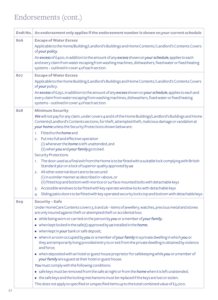| Endt No. | An endorsement only applies if the endorsement number is shown on your current schedule                                                                                                                                                                                                                                                                                                                                                                                                                                                                                                                                                                                                                                                                                                                                                                                                                                                                                                                                                                                                                                                                                    |
|----------|----------------------------------------------------------------------------------------------------------------------------------------------------------------------------------------------------------------------------------------------------------------------------------------------------------------------------------------------------------------------------------------------------------------------------------------------------------------------------------------------------------------------------------------------------------------------------------------------------------------------------------------------------------------------------------------------------------------------------------------------------------------------------------------------------------------------------------------------------------------------------------------------------------------------------------------------------------------------------------------------------------------------------------------------------------------------------------------------------------------------------------------------------------------------------|
| 806      | <b>Escape of Water Excess</b><br>Applicable to the Home/Building/Landlord's Buildings and Home Contents/Landlord's Contents Covers<br>of your policy.<br>An excess of £400, in addition to the amount of any excess shown on your schedule, applies to each<br>and every claim from water escaping from washing machines, dishwashers, fixed water or fixed heating<br>systems - outlined in cover 4 of each section.                                                                                                                                                                                                                                                                                                                                                                                                                                                                                                                                                                                                                                                                                                                                                      |
| 807      | <b>Escape of Water Excess</b><br>Applicable to the Home Building/Landlord's Buildings and Home Contents/Landlord's Contents Covers<br>of your policy.<br>An excess of £250, in addition to the amount of any excess shown on your schedule, applies to each and<br>every claim from water escaping from washing machines, dishwashers, fixed water or fixed heating<br>systems - outlined in cover 4 of each section.                                                                                                                                                                                                                                                                                                                                                                                                                                                                                                                                                                                                                                                                                                                                                      |
| 808      | <b>Minimum Security</b><br>We will not pay for any claim, under covers 4 and 6 of the Home Buildings/Landlord's Buildings and Home<br>Contents/Landlord's Contents sections, for theft, attempted theft, malicious damage or vandalism at<br>your home unless the Security Protections shown below are:<br>1. Fitted to the <i>home</i> and<br>2. Put into full and effective operation<br>(i) whenever the <i>home</i> is left unattended, and<br>(ii) when you and your family go to bed.<br><b>Security Protections</b><br>The door used as a final exit from the Home is to be fitted with a suitable lock complying with British<br>1 <sup>1</sup><br>Standard 3621 or a lock of superior quality approved by us.<br>2. All other external doors are to be secured<br>(i) in a similar manner as described in 1 above, or<br>(ii) fitted top and bottom with mortice or surface mounted bolts with detachable keys<br>3. Accessible windows to be fitted with key operate window locks with detachable keys<br>Sliding patio doors to be fitted with key operated security locks top and bottom with detachable keys<br>4.                                            |
| 809      | <b>Security-Safe</b><br>Under HomeCare Contents covers 3, 6 and 26 - Items of jewellery, watches, precious metal and stones<br>are only insured against theft or attempted theft or accidental loss:<br>• while being worn or carried on the person by you or a member of your family;<br>$\bullet$ when kept locked in the safe(s) approved by us installed in the home;<br>• when kept in your bank or safe deposit;<br>• when in a room occupied by you or a member of your family in a private dwelling in which you or<br>they are temporarily living provided entry to or exit from the private dwelling is obtained by violence<br>and force;<br>• when deposited with an hotel or guest house proprietor for safekeeping while you or a member of<br>your family are a guest at their hotel or guest house.<br>You must comply with the following conditions:<br>• safe keys must be removed from the safe at night or from the home when it is left unattended;<br>• the safe keys and the locking mechanisms must be replaced if the keys are lost or stolen.<br>This does not apply to specified or unspecified items up to the total combined value of £3,000. |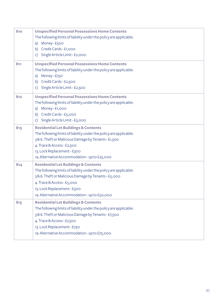| 810 | <b>Unspecified Personal Possessions Home Contents</b><br>The following limits of liability under the policy are applicable:<br>a) Money-£500<br>b) Credit Cards - £1,000<br>Single Article Limit - £2,000<br>C)                                                                            |
|-----|--------------------------------------------------------------------------------------------------------------------------------------------------------------------------------------------------------------------------------------------------------------------------------------------|
| 811 | <b>Unspecified Personal Possessions Home Contents</b><br>The following limits of liability under the policy are applicable:<br>a) Money-£750<br>Credit Cards - £2,500<br>b)<br>Single Article Limit - £2,500<br>C)                                                                         |
| 812 | <b>Unspecified Personal Possessions Home Contents</b><br>The following limits of liability under the policy are applicable:<br>a) Money-£1,000<br>b) Credit Cards - £5,000<br>Single Article Limit - £3,000<br>C)                                                                          |
| 813 | <b>Residential Let Buildings &amp; Contents</b><br>The following limits of liability under the policy are applicable:<br>3& 6. Theft or Malicious Damage by Tenants - £1,500<br>4. Trace & Access - £2,500<br>13. Lock Replacement - £300<br>19. Alternative Accommodation - up to £25,000 |
| 814 | <b>Residential Let Buildings &amp; Contents</b><br>The following limits of liability under the policy are applicable:<br>3& 6. Theft or Malicious Damage by Tenants - £5,000<br>4. Trace & Access - £5,000<br>13. Lock Replacement - £500<br>19. Alternative Accommodation - up to £50,000 |
| 815 | <b>Residential Let Buildings &amp; Contents</b><br>The following limits of liability under the policy are applicable:<br>3& 6. Theft or Malicious Damage by Tenants - £7,500<br>4. Trace & Access - £7,500<br>13. Lock Replacement - £750<br>19. Alternative Accommodation - up to £75,000 |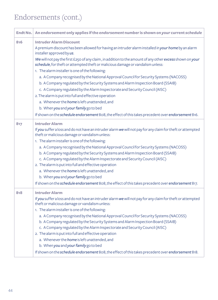| Endt No. | An endorsement only applies if the endorsement number is shown on your current schedule                                                                                                                                                                                                                                                                                                                                                                                                                                                                                                                                                                                                                                                                                                                                                                                                                                                            |
|----------|----------------------------------------------------------------------------------------------------------------------------------------------------------------------------------------------------------------------------------------------------------------------------------------------------------------------------------------------------------------------------------------------------------------------------------------------------------------------------------------------------------------------------------------------------------------------------------------------------------------------------------------------------------------------------------------------------------------------------------------------------------------------------------------------------------------------------------------------------------------------------------------------------------------------------------------------------|
| 816      | <b>Intruder Alarm Discount</b><br>A premium discount has been allowed for having an intruder alarm installed in your home by an alarm<br>installer approved by us.<br>We will not pay the first £250 of any claim, in addition to the amount of any other excess shown on your<br>schedule, for theft or attempted theft or malicious damage or vandalism unless:<br>1. The alarm installer is one of the following:<br>a. A Company recognised by the National Approval Council for Security Systems (NACOSS)<br>b. A Company regulated by the Security Systems and Alarm Inspection Board (SSAIB)<br>c. A Company regulated by the Alarm Inspectorate and Security Council (AISC)<br>2. The alarm is put into full and effective operation<br>a. Whenever the <i>home</i> is left unattended, and<br>b. When you and your family go to bed<br>If shown on the schedule endorsement 808, the effect of this takes precedent over endorsement 816. |
| 817      | <b>Intruder Alarm</b><br>If you suffer a loss and do not have an intruder alarm we will not pay for any claim for theft or attempted<br>theft or malicious damage or vandalism unless:<br>1. The alarm installer is one of the following:<br>a. A Company recognised by the National Approval Council for Security Systems (NACOSS)<br>b. A Company regulated by the Security Systems and Alarm Inspection Board (SSAIB)<br>c. A Company regulated by the Alarm Inspectorate and Security Council (AISC)<br>2. The alarm is put into full and effective operation<br>a. Whenever the <i>home</i> is left unattended, and<br>b. When you and your family go to bed<br>If shown on the schedule endorsement 808, the effect of this takes precedent over endorsement 817.                                                                                                                                                                            |
| 818      | <b>Intruder Alarm</b><br>If you suffer a loss and do not have an intruder alarm we will not pay for any claim for theft or attempted<br>theft or malicious damage or vandalism unless:<br>1. The alarm installer is one of the following:<br>a. A Company recognised by the National Approval Council for Security Systems (NACOSS)<br>b. A Company regulated by the Security Systems and Alarm Inspection Board (SSAIB)<br>c. A Company regulated by the Alarm Inspectorate and Security Council (AISC)<br>2. The alarm is put into full and effective operation<br>a. Whenever the <i>home</i> is left unattended, and<br>b. When you and your family go to bed<br>If shown on the schedule endorsement 808, the effect of this takes precedent over endorsement 818.                                                                                                                                                                            |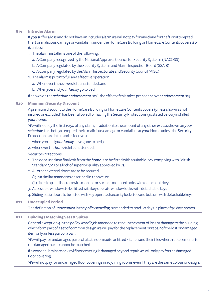| 819 | <b>Intruder Alarm</b>                                                                                                                                                                                                                                                  |
|-----|------------------------------------------------------------------------------------------------------------------------------------------------------------------------------------------------------------------------------------------------------------------------|
|     | If you suffer a loss and do not have an intruder alarm we will not pay for any claim for theft or attempted<br>theft or malicious damage or vandalism, under the HomeCare Building or HomeCare Contents covers 4 or                                                    |
|     | 6, unless:                                                                                                                                                                                                                                                             |
|     | 1. The alarm installer is one of the following:                                                                                                                                                                                                                        |
|     | a. A Company recognized by the National Approval Council for Security Systems (NACOSS)                                                                                                                                                                                 |
|     | b. A Company regulated by the Security Systems and Alarm Inspection Board (SSAIB)                                                                                                                                                                                      |
|     | c. A Company regulated by the Alarm Inspectorate and Security Council (AISC)                                                                                                                                                                                           |
|     | 2. The alarm is put into full and effective operation                                                                                                                                                                                                                  |
|     | a. Whenever the <i>home</i> is left unattended, and<br>b. When you and your family go to bed                                                                                                                                                                           |
|     |                                                                                                                                                                                                                                                                        |
|     | If shown on the schedule endorsement 808, the effect of this takes precedent over endorsement 819.                                                                                                                                                                     |
| 820 | <b>Minimum Security Discount</b>                                                                                                                                                                                                                                       |
|     | A premium discount to the HomeCare Building or HomeCare Contents covers (unless shown as not                                                                                                                                                                           |
|     | insured or excluded) has been allowed for having the Security Protections (as stated below) installed in<br>your home.                                                                                                                                                 |
|     | We will not pay the first £250 of any claim, in addition to the amount of any other excess shown on your                                                                                                                                                               |
|     | schedule, for theft, attempted theft, malicious damage or vandalism at your Home unless the Security                                                                                                                                                                   |
|     | Protections are in full and effective use.                                                                                                                                                                                                                             |
|     | 1. when you and your family have gone to bed, or                                                                                                                                                                                                                       |
|     | 2. whenever the <i>home</i> is left unattended.                                                                                                                                                                                                                        |
|     | <b>Security Protections</b>                                                                                                                                                                                                                                            |
|     | 1. The door used as a final exit from the <i>home</i> is to be fitted with a suitable lock complying with British<br>Standard 3621 or a lock of superior quality approved by us.                                                                                       |
|     | 2. All other external doors are to be secured                                                                                                                                                                                                                          |
|     | (i) in a similar manner as described in 1 above, or                                                                                                                                                                                                                    |
|     | (ii) fitted top and bottom with mortice or surface mounted bolts with detachable keys                                                                                                                                                                                  |
|     | 3. Accessible windows to be fitted with key operate window locks with detachable keys                                                                                                                                                                                  |
|     | 4. Sliding patio doors to be fitted with key operated security locks top and bottom with detachable keys.                                                                                                                                                              |
| 821 | <b>Unoccupied Period</b>                                                                                                                                                                                                                                               |
|     | The definition of <i>unoccupied</i> in the <i>policy wording</i> is amended to read 60 days in place of 30 days shown.                                                                                                                                                 |
| 822 | <b>Buildings Matching Sets &amp; Suites</b>                                                                                                                                                                                                                            |
|     | General exception 4 in the <i>policy wording</i> is amended to read: In the event of loss or damage to the building<br>which form part of a set of common design we will pay for the replacement or repair of the lost or damaged<br>item only, unless part of a pair. |
|     | We will pay for undamaged parts of a bathroom suite or fitted kitchen and their tiles where replacements to<br>the damaged parts cannot be matched.                                                                                                                    |
|     | If a wooden, laminate or vinyl floor covering is damaged beyond repair we will only pay for the damaged<br>floor covering.                                                                                                                                             |
|     | We will not pay for undamaged floor coverings in adjoining rooms even if they are the same colour or design.                                                                                                                                                           |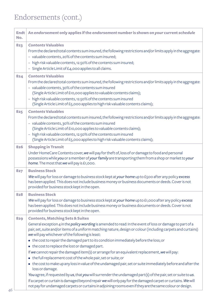$\sim$ 

| Endt<br>No. | An endorsement only applies if the endorsement number is shown on your current schedule                                                                                                                                    |
|-------------|----------------------------------------------------------------------------------------------------------------------------------------------------------------------------------------------------------------------------|
| 823         | <b>Contents Valuables</b>                                                                                                                                                                                                  |
|             | From the declared total contents sum insured, the following restrictions and/or limits apply in the aggregate:                                                                                                             |
|             | - valuable contents, 20% of the contents sum insured;                                                                                                                                                                      |
|             | - high risk valuable contents, 12.50% of the contents sum insured;                                                                                                                                                         |
|             | - Single Article Limit of £4,000 applies to all claims.                                                                                                                                                                    |
| 824         | <b>Contents Valuables</b>                                                                                                                                                                                                  |
|             | From the declared total contents sum insured, the following restrictions and/or limits apply in the aggregate:                                                                                                             |
|             | - valuable contents, 30% of the contents sum insured                                                                                                                                                                       |
|             | (Single Article Limit of £10,000 applies to valuable contents claims);                                                                                                                                                     |
|             | - high risk valuable contents, 12.50% of the contents sum insured                                                                                                                                                          |
|             | (Single Article Limit of £5,000 applies to high risk valuable contents claims);                                                                                                                                            |
| 825         | <b>Contents Valuables</b>                                                                                                                                                                                                  |
|             | From the declared total contents sum insured, the following restrictions and/or limits apply in the aggregate:                                                                                                             |
|             | - valuable contents, 30% of the contents sum insured                                                                                                                                                                       |
|             | (Single Article Limit of £10,000 applies to valuable contents claims);                                                                                                                                                     |
|             | - high risk valuable contents, 12.50% of the contents sum insured                                                                                                                                                          |
|             | (Single Article Limit of £5,000 applies to high risk valuable contents claims);                                                                                                                                            |
| 826         | <b>Shopping in Transit</b>                                                                                                                                                                                                 |
|             | Under HomeCare Contents cover, we will pay for theft of, loss of or damage to food and personal                                                                                                                            |
|             | possessions while you or a member of your family are transporting them from a shop or market to your                                                                                                                       |
|             | home. The most that we will pay is £1,000.                                                                                                                                                                                 |
| 827         | <b>Business Stock</b>                                                                                                                                                                                                      |
|             | We will pay for loss or damage to business stock kept at your home up to £500 after any policy excess                                                                                                                      |
|             | has been applied. This does not include business money or business documents or deeds. Cover is not                                                                                                                        |
|             | provided for business stock kept in the open.                                                                                                                                                                              |
| 828         | <b>Business Stock</b>                                                                                                                                                                                                      |
|             | We will pay for loss or damage to business stock kept at your home up to £1,000 after any policy excess                                                                                                                    |
|             | has been applied. This does not include business money or business documents or deeds. Cover is not<br>provided for business stock kept in the open.                                                                       |
|             |                                                                                                                                                                                                                            |
| 829         | <b>Contents, Matching Sets &amp; Suites</b>                                                                                                                                                                                |
|             | General exception 4 in the policy wording is amended to read: In the event of loss or damage to part of a<br>pair, set, suite and/or items of a uniform matching nature, design or colour (including carpets and curtains) |
|             | we will pay whichever of the following is least:                                                                                                                                                                           |
|             | • the cost to repair the damaged part to its condition immediately before the loss; or                                                                                                                                     |
|             | • the cost to replace the lost or damaged part.                                                                                                                                                                            |
|             | If we cannot repair the damaged item(s) or arrange for an equivalent replacement, we will pay:                                                                                                                             |
|             | • the full replacement cost of the whole pair, set or suite; or                                                                                                                                                            |
|             | • the cost to make up any loss in value of the undamaged pair, set or suite immediately before and after the                                                                                                               |
|             | loss or damage.                                                                                                                                                                                                            |
|             | You agree, if requested by us, that you will surrender the undamaged part(s) of the pair, set or suite to us.                                                                                                              |
|             | If a carpet or curtain is damaged beyond repair we will only pay for the damaged carpet or curtains. We will                                                                                                               |
|             | not pay for undamaged carpets or curtains in adjoining rooms even if they are the same colour or design.                                                                                                                   |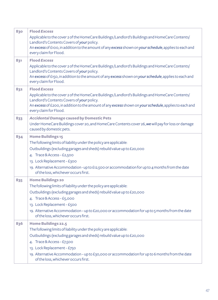| 830 | <b>Flood Excess</b>                                                                                                                           |
|-----|-----------------------------------------------------------------------------------------------------------------------------------------------|
|     | Applicable to the cover 2 of the HomeCare Buildings/Landlord's Buildings and HomeCare Contents/                                               |
|     | Landlord's Contents Covers of your policy.                                                                                                    |
|     | An excess of £100, in addition to the amount of any excess shown on your schedule, applies to each and<br>every claim for Flood.              |
|     |                                                                                                                                               |
| 831 | <b>Flood Excess</b>                                                                                                                           |
|     | Applicable to the cover 2 of the HomeCare Buildings/Landlord's Buildings and HomeCare Contents/<br>Landlord's Contents Covers of your policy. |
|     | An excess of £150, in addition to the amount of any excess shown on your schedule, applies to each and                                        |
|     | every claim for Flood.                                                                                                                        |
| 832 | <b>Flood Excess</b>                                                                                                                           |
|     | Applicable to the cover 2 of the HomeCare Buildings /Landlord's Buildings and HomeCare Contents/                                              |
|     | Landlord's Contents Covers of your policy.                                                                                                    |
|     | An excess of £200, in addition to the amount of any excess shown on your schedule, applies to each and                                        |
|     | every claim for Flood.                                                                                                                        |
| 833 | <b>Accidental Damage caused by Domestic Pets</b>                                                                                              |
|     | Under HomeCare Buildings cover 20, and HomeCare Contents cover 26, we will pay for loss or damage                                             |
|     | caused by domestic pets.                                                                                                                      |
| 834 | <b>Home Buildings 15</b>                                                                                                                      |
|     | The following limits of liability under the policy are applicable:                                                                            |
|     | Outbuildings (excluding garages and sheds) rebuild value up to £20,000                                                                        |
|     | 4. Trace & Access - £2,500                                                                                                                    |
|     | 13. Lock Replacement - £300                                                                                                                   |
|     | 19. Alternative Accommodation - up to £12,500 or accommodation for up to 4 months from the date                                               |
|     | of the loss, whichever occurs first.                                                                                                          |
| 835 | <b>Home Buildings 20</b>                                                                                                                      |
|     | The following limits of liability under the policy are applicable:                                                                            |
|     | Outbuildings (excluding garages and sheds) rebuild value up to £20,000                                                                        |
|     | 4. Trace & Access-£5,000                                                                                                                      |
|     | 13. Lock Replacement - £500                                                                                                                   |
|     | 19. Alternative Accommodation - up to £20,000 or accommodation for up to 5 months from the date<br>of the loss, whichever occurs first.       |
| 836 | <b>Home Buildings 22.5</b>                                                                                                                    |
|     | The following limits of liability under the policy are applicable:                                                                            |
|     | Outbuildings (excluding garages and sheds) rebuild value up to £20,000                                                                        |
|     | 4. Trace & Access - £7,500                                                                                                                    |
|     | 13. Lock Replacement - £750                                                                                                                   |
|     | 19. Alternative Accommodation - up to £30,000 or accommodation for up to 6 months from the date<br>of the loss, whichever occurs first.       |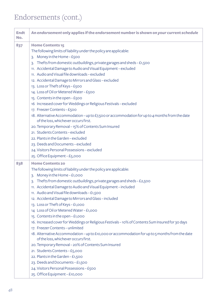| <b>Endt</b><br>No. | An endorsement only applies if the endorsement number is shown on your current schedule                                                                                                                                                                                                                                                                                                                                                                                                                                                                                                                                                                                                                                                                                                                                                                                                                                                                                                                                                        |
|--------------------|------------------------------------------------------------------------------------------------------------------------------------------------------------------------------------------------------------------------------------------------------------------------------------------------------------------------------------------------------------------------------------------------------------------------------------------------------------------------------------------------------------------------------------------------------------------------------------------------------------------------------------------------------------------------------------------------------------------------------------------------------------------------------------------------------------------------------------------------------------------------------------------------------------------------------------------------------------------------------------------------------------------------------------------------|
| 837                | <b>Home Contents 15</b><br>The following limits of liability under the policy are applicable:<br>3. Money in the Home - £500<br>3. Thefts from domestic outbuildings, private garages and sheds - £1,500<br>11. Accidental Damage to Audio and Visual Equipment - excluded<br>11. Audio and Visual file downloads - excluded<br>12. Accidental Damage to Mirrors and Glass - excluded<br>13. Loss or Theft of Keys - £500<br>14. Loss of Oil or Metered Water - £500<br>15. Contents in the open - £500<br>16 Increased cover for Weddings or Religious Festivals - excluded<br>17. Freezer Contents - £500<br>18. Alternative Accommodation - up to £7,500 or accommodation for up to 4 months from the date<br>of the loss, whichever occurs first.<br>20. Temporary Removal – 15% of Contents Sum Insured<br>21. Students Contents - excluded<br>22. Plants in the Garden - excluded<br>23. Deeds and Documents - excluded<br>24. Visitors Personal Possessions - excluded<br>25. Office Equipment - £5,000                                 |
| 838                | <b>Home Contents 20</b><br>The following limits of liability under the policy are applicable:<br>3. Money in the Home - £1,000<br>3. Thefts from domestic outbuildings, private garages and sheds - £2,500<br>11. Accidental Damage to Audio and Visual Equipment - included<br>11. Audio and Visual file downloads - £1,500<br>12. Accidental Damage to Mirrors and Glass-included<br>13. Loss or Theft of Keys - £1,000<br>14 Loss of Oil or Metered Water - £1,000<br>15. Contents in the open - £1,000<br>16. Increased cover for Weddings or Religious Festivals - 10% of Contents Sum Insured for 30 days<br>17. Freezer Contents - unlimited<br>18. Alternative Accommodation - up to £10,000 or accommodation for up to 5 months from the date<br>of the loss, whichever occurs first.<br>20. Temporary Removal - 20% of Contents Sum Insured<br>21. Students Contents - £5,000<br>22. Plants in the Garden - £1,500<br>23. Deeds and Documents - £1,500<br>24. Visitors Personal Possessions - £500<br>25. Office Equipment - £10,000 |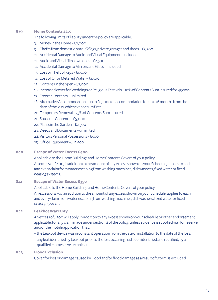| 839 | Home Contents 22.5                                                                                                                      |
|-----|-----------------------------------------------------------------------------------------------------------------------------------------|
|     | The following limits of liability under the policy are applicable:                                                                      |
|     | 3. Money in the Home - £2,000                                                                                                           |
|     | 3. Thefts from domestic outbuildings, private garages and sheds - £3,500                                                                |
|     | 11. Accidental Damage to Audio and Visual Equipment - included                                                                          |
|     | 11. Audio and Visual file downloads - £2,500                                                                                            |
|     | 12. Accidental Damage to Mirrors and Glass-included                                                                                     |
|     | 13. Loss or Theft of Keys - £1,500                                                                                                      |
|     | 14 Loss of Oil or Metered Water - £1,500                                                                                                |
|     | 15. Contents in the open - £2,000                                                                                                       |
|     | 16. Increased cover for Weddings or Religious Festivals - 10% of Contents Sum Insured for 45 days                                       |
|     | 17. Freezer Contents - unlimited                                                                                                        |
|     | 18. Alternative Accommodation - up to £15,000 or accommodation for up to 6 months from the<br>date of the loss, whichever occurs first. |
|     | 20. Temporary Removal - 25% of Contents Sum Insured                                                                                     |
|     | 21. Students Contents - £5,000                                                                                                          |
|     | 22. Plants in the Garden-£2,500                                                                                                         |
|     | 23. Deeds and Documents - unlimited                                                                                                     |
|     | 24. Visitors Personal Possessions - £500                                                                                                |
|     | 25. Office Equipment - £12,500                                                                                                          |
| 840 | <b>Escape of Water Excess £400</b>                                                                                                      |
|     | Applicable to the Home Buildings and Home Contents Covers of your policy.                                                               |
|     | An excess of £400, in addition to the amount of any excess shown on your Schedule, applies to each                                      |
|     | and every claim from water escaping from washing machines, dishwashers, fixed water or fixed                                            |
|     | heating systems.                                                                                                                        |
| 841 | <b>Escape of Water Excess £350</b>                                                                                                      |
|     | Applicable to the Home Buildings and Home Contents Covers of your policy.                                                               |
|     | An excess of £350, in addition to the amount of any excess shown on your Schedule, applies to each                                      |
|     | and every claim from water escaping from washing machines, dishwashers, fixed water or fixed                                            |
|     | heating systems.                                                                                                                        |
| 842 | <b>Leakbot Warranty</b>                                                                                                                 |
|     | An excess of £500 will apply, in addition to any excess shown on your schedule or other endorsement                                     |
|     | applicable, for any claim made under section 4 of the policy, unless evidence is supplied via Homeserve                                 |
|     | and/or the mobile application that:                                                                                                     |
|     | - the Leakbot device was in constant operation from the date of installation to the date of the loss.                                   |
|     | - any leak identified by Leakbot prior to the loss occuring had been identified and rectified, by a<br>qualified Homeserve technician.  |
| 843 | <b>Flood Exclusion</b>                                                                                                                  |
|     | Cover for loss or damage caused by Flood and/or flood damage as a result of Storm, is excluded.                                         |
|     |                                                                                                                                         |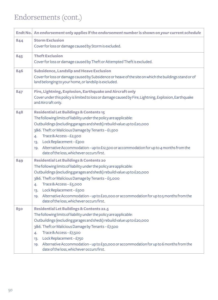|     | Endt No. An endorsement only applies if the endorsement number is shown on your current schedule                                                                                                                                                                                                                                                                                                                                                                            |
|-----|-----------------------------------------------------------------------------------------------------------------------------------------------------------------------------------------------------------------------------------------------------------------------------------------------------------------------------------------------------------------------------------------------------------------------------------------------------------------------------|
| 844 | <b>Storm Exclusion</b><br>Cover for loss or damage caused by Storm is excluded.                                                                                                                                                                                                                                                                                                                                                                                             |
| 845 | <b>Theft Exclusion</b><br>Cover for loss or damage caused by Theft or Attempted Theft is excluded.                                                                                                                                                                                                                                                                                                                                                                          |
| 846 | <b>Subsidence, Landslip and Heave Exclusion</b><br>Cover for loss or damage caused by Subsidence or heave of the site on which the buildings stand or of<br>land belonging to your home, or landslip is excluded.                                                                                                                                                                                                                                                           |
| 847 | Fire, Lightning, Explosion, Earthquake and Aircraft only<br>Cover under this policy is limited to loss or damage caused by Fire, Lightning, Explosion, Earthquake<br>and Aircraft only.                                                                                                                                                                                                                                                                                     |
| 848 | <b>Residential Let Buildings &amp; Contents 15</b><br>The following limits of liability under the policy are applicable:<br>Outbuildings (excluding garages and sheds) rebuild value up to £20,000<br>3&6. Theft or Malicious Damage by Tenants - £1,500<br>Trace & Access $-$ £2,500<br>4.<br>Lock Replacement - £300<br>13.<br>Alternative Accommodation - up to £12,500 or accommodation for up to 4 months from the<br>19.<br>date of the loss, whichever occurs first. |
| 849 | <b>Residential Let Buildings &amp; Contents 20</b><br>The following limits of liability under the policy are applicable:<br>Outbuildings (excluding garages and sheds) rebuild value up to £20,000<br>3&6. Theft or Malicious Damage by Tenants-£5,000<br>Trace & Access-£5,000<br>4.<br>Lock Replacement - £500<br>13.<br>Alternative Accommodation – up to £20,000 or accommodation for up to 5 months from the<br>19.<br>date of the loss, whichever occurs first.       |
| 850 | <b>Residential Let Buildings &amp; Contents 22.5</b><br>The following limits of liability under the policy are applicable:<br>Outbuildings (excluding garages and sheds) rebuild value up to £20,000<br>3&6. Theft or Malicious Damage by Tenants - £7,500<br>Trace & Access - £7,500<br>4.<br>Lock Replacement - £750<br>13.<br>Alternative Accommodation - up to £30,000 or accommodation for up to 6 months from the<br>19.<br>date of the loss, whichever occurs first. |